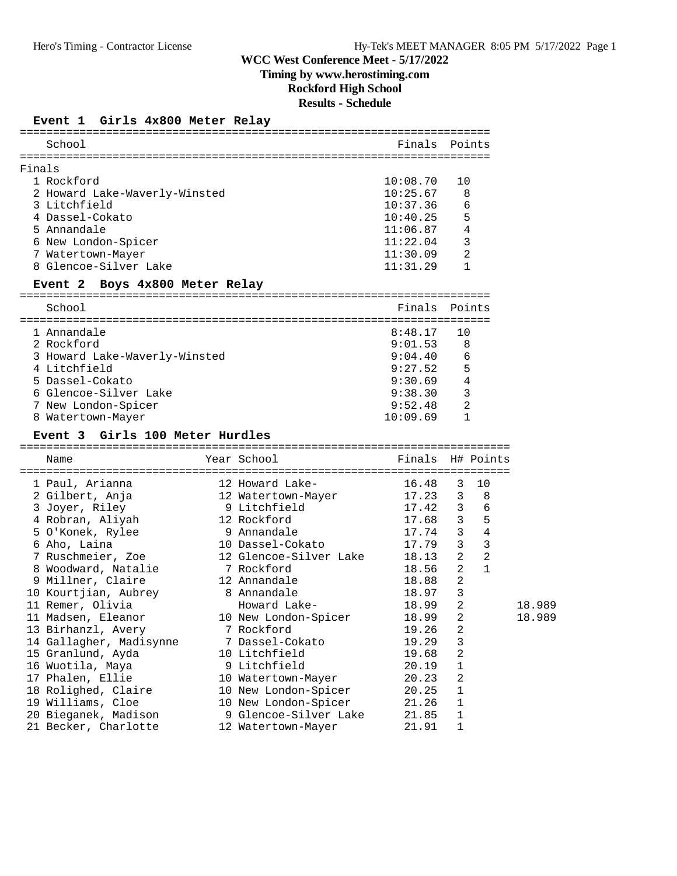# **Timing by www.herostiming.com**

**Rockford High School**

**Results - Schedule**

### **Event 1 Girls 4x800 Meter Relay**

| School                             |                        | Finals   | Points                         |
|------------------------------------|------------------------|----------|--------------------------------|
| Finals                             |                        |          |                                |
| 1 Rockford                         |                        | 10:08.70 | 10                             |
| 2 Howard Lake-Waverly-Winsted      |                        | 10:25.67 | 8                              |
| 3 Litchfield                       |                        | 10:37.36 | 6                              |
| 4 Dassel-Cokato                    |                        | 10:40.25 | 5                              |
| 5 Annandale                        |                        | 11:06.87 | 4                              |
| 6 New London-Spicer                |                        | 11:22.04 | 3                              |
| 7 Watertown-Mayer                  |                        | 11:30.09 | 2                              |
| 8 Glencoe-Silver Lake              |                        | 11:31.29 | $\mathbf{1}$                   |
| Event 2<br>Boys 4x800 Meter Relay  |                        |          |                                |
|                                    |                        |          |                                |
| School                             |                        | Finals   | Points                         |
| 1 Annandale                        |                        | 8:48.17  | 10                             |
| 2 Rockford                         |                        | 9:01.53  | 8                              |
| 3 Howard Lake-Waverly-Winsted      |                        | 9:04.40  | 6                              |
| 4 Litchfield                       |                        | 9:27.52  | 5                              |
| 5 Dassel-Cokato                    |                        | 9:30.69  | $\overline{4}$                 |
| 6 Glencoe-Silver Lake              |                        | 9:38.30  | 3                              |
| 7 New London-Spicer                |                        | 9:52.48  | $\overline{2}$                 |
| 8 Watertown-Mayer                  |                        | 10:09.69 | 1                              |
| Girls 100 Meter Hurdles<br>Event 3 |                        |          |                                |
| Name                               | Year School            | Finals   | H# Points                      |
|                                    |                        |          |                                |
| 1 Paul, Arianna                    | 12 Howard Lake-        | 16.48    | 10<br>3                        |
| 2 Gilbert, Anja                    | 12 Watertown-Mayer     | 17.23    | - 8<br>3                       |
| 3 Joyer, Riley                     | 9 Litchfield           | 17.42    | 6<br>3                         |
| 4 Robran, Aliyah                   | 12 Rockford            | 17.68    | $5^{\circ}$<br>$\overline{3}$  |
| 5 O'Konek, Rylee                   | 9 Annandale            | 17.74    | $\mathbf{3}$<br>$\overline{4}$ |
| 6 Aho, Laina                       | 10 Dassel-Cokato       | 17.79    | 3<br>3                         |
| 7 Ruschmeier, Zoe                  | 12 Glencoe-Silver Lake | 18.13    | $\overline{2}$<br>2            |
| 8 Woodward, Natalie                | 7 Rockford             | 18.56    | 2<br>$\mathbf{1}$              |
| 9 Millner, Claire                  | 12 Annandale           | 18.88    | 2                              |
| 10 Kourtjian, Aubrey               | 8 Annandale            | 18.97    | $\mathbf{3}$                   |
| 11 Remer, Olivia                   | Howard Lake-           | 18.99    | 2                              |
| 11 Madsen, Eleanor                 | 10 New London-Spicer   | 18.99    | 2                              |
| 13 Birhanzl, Avery                 | 7 Rockford             | 19.26    | 2                              |
| 14 Gallagher, Madisynne            | Dassel-Cokato          | 19.29    | 3                              |
| 15 Granlund, Ayda                  | 10 Litchfield          | 19.68    | 2                              |
| 16 Wuotila, Maya                   | 9 Litchfield           | 20.19    | 1                              |
| 17 Phalen, Ellie                   | 10 Watertown-Mayer     | 20.23    | 2                              |
| 18 Rolighed, Claire                | 10 New London-Spicer   | 20.25    | 1                              |
| 19 Williams, Cloe                  | 10 New London-Spicer   | 21.26    | 1                              |
| 20 Bieganek, Madison               | 9 Glencoe-Silver Lake  | 21.85    | $\mathbf 1$                    |
|                                    |                        |          |                                |
| 21 Becker, Charlotte               | 12 Watertown-Mayer     | 21.91    | 1                              |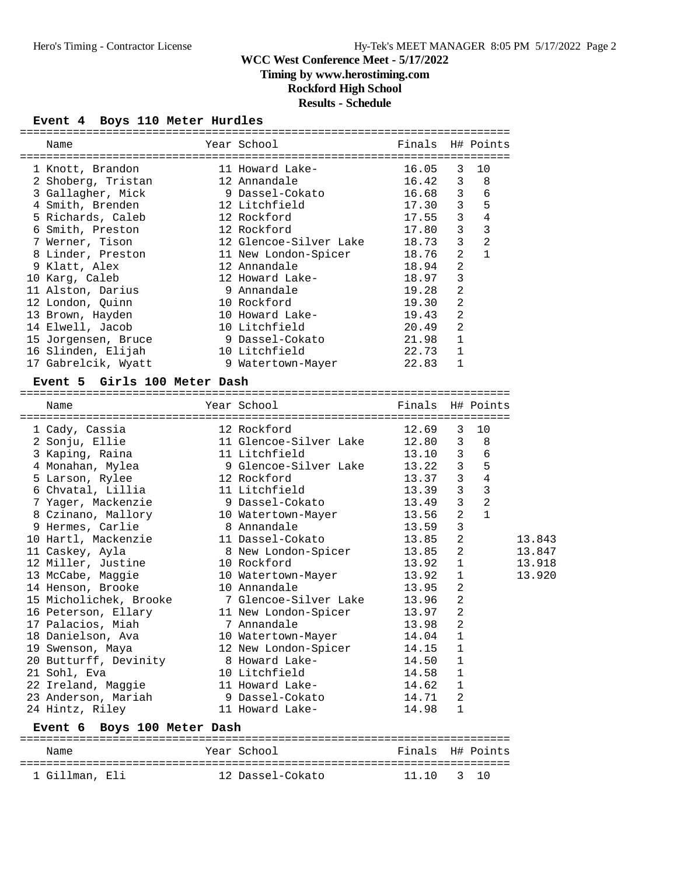### **Timing by www.herostiming.com**

## **Rockford High School**

## **Results - Schedule**

#### **Event 4 Boys 110 Meter Hurdles**

| Name                                      | Year School                            | Finals H# Points            |                             |                               |
|-------------------------------------------|----------------------------------------|-----------------------------|-----------------------------|-------------------------------|
| 1 Knott, Brandon                          | ----<br>11 Howard Lake-                |                             | 3                           | 10                            |
| 2 Shoberg, Tristan                        | 12 Annandale                           | $16.05$<br>$16.42$<br>16.42 | $\mathbf{3}$                | 8                             |
| 3 Gallagher, Mick                         | 9 Dassel-Cokato                        | 16.68                       | 3                           | 6                             |
| 4 Smith, Brenden                          | 12 Litchfield                          | 17.30                       | $\overline{\mathbf{3}}$     | $\overline{5}$                |
| 5 Richards, Caleb                         | 12 Rockford                            | 17.55                       | $\mathbf{3}$                | $\overline{4}$                |
| 6 Smith, Preston                          | 12 Rockford                            | 17.80                       | 3                           | $\overline{\phantom{a}}$      |
| 7 Werner, Tison                           | 12 Glencoe-Silver Lake                 | 18.73                       | 3                           | $\overline{c}$                |
| 8 Linder, Preston                         | 11 New London-Spicer                   | 18.76                       | 2                           | $\mathbf{1}$                  |
| 9 Klatt, Alex                             | 12 Annandale                           | 18.94                       | 2                           |                               |
| 10 Karg, Caleb                            | 12 Howard Lake-                        | 18.97                       | 3                           |                               |
| 11 Alston, Darius                         | 9 Annandale                            | 19.28                       | $\overline{2}$              |                               |
| 12 London, Quinn                          | 10 Rockford                            | 19.30                       | $\overline{2}$              |                               |
| 13 Brown, Hayden                          | 10 Howard Lake-                        | 19.43                       | 2                           |                               |
| 14 Elwell, Jacob                          | 10 Litchfield                          | 20.49                       | $\overline{a}$              |                               |
| 15 Jorgensen, Bruce                       | 9 Dassel-Cokato                        | 21.98                       | 1                           |                               |
| 16 Slinden, Elijah                        | 10 Litchfield                          | 22.73                       | $\mathbf{1}$                |                               |
| 17 Gabrelcik, Wyatt                       | 9 Watertown-Mayer                      | 22.83                       | $\mathbf{1}$                |                               |
|                                           |                                        |                             |                             |                               |
|                                           |                                        |                             |                             |                               |
| Event 5 Girls 100 Meter Dash              |                                        |                             |                             |                               |
| Name                                      | Year School                            | Finals H# Points            |                             |                               |
|                                           |                                        |                             |                             | 10                            |
| 1 Cady, Cassia                            | 12 Rockford<br>11 Glensee S            | 12.69                       | 3                           |                               |
| 2 Sonju, Ellie                            | 11 Glencoe-Silver Lake                 | 12.80                       | $\mathbf{3}$                | 8                             |
| 3 Kaping, Raina                           | 11 Litchfield                          | 13.10                       | 3                           | 6                             |
| 4 Monahan, Mylea                          | 9 Glencoe-Silver Lake                  | 13.22                       | 3                           | $5^{\circ}$                   |
| 5 Larson, Rylee                           | 12 Rockford<br>11 Litchfield           | 13.37                       | $\mathbf{3}$<br>3           | $\overline{4}$                |
| 6 Chvatal, Lillia                         |                                        | 13.39                       | 3                           | $\overline{\phantom{a}}$<br>2 |
| 7 Yager, Mackenzie                        | 9 Dassel-Cokato                        | 13.49                       | 2                           | $\mathbf{1}$                  |
| 8 Czinano, Mallory                        | 10 Watertown-Mayer<br>8 Annandale      | 13.56                       | 3                           |                               |
| 9 Hermes, Carlie                          |                                        | 13.59                       |                             |                               |
| 10 Hartl, Mackenzie                       | 11 Dassel-Cokato                       | 13.85                       | 2                           |                               |
| 11 Caskey, Ayla                           | 8 New London-Spicer                    | 13.85                       | 2                           |                               |
| 12 Miller, Justine                        | 10 Rockford                            | 13.92                       | 1                           |                               |
| 13 McCabe, Maggie                         | 10 Watertown-Mayer                     | 13.92                       | 1                           |                               |
| 14 Henson, Brooke                         | 10 Annandale                           | 13.95                       | $\overline{a}$              |                               |
| 15 Micholichek, Brooke                    | 7 Glencoe-Silver Lake                  | 13.96                       | $\overline{2}$              |                               |
| 16 Peterson, Ellary                       | 11 New London-Spicer                   | 13.97                       | $\overline{2}$              |                               |
| 17 Palacios, Miah                         | 7 Annandale                            | 13.98                       | $\overline{2}$              |                               |
| 18 Danielson, Ava                         | 10 Watertown-Mayer                     | 14.04                       | $\mathbf{1}$                |                               |
| 19 Swenson, Maya<br>20 Butturff, Devinity | 12 New London-Spicer<br>8 Howard Lake- | 14.15<br>14.50              | $\mathbf 1$<br>$\mathbf{1}$ |                               |

| 22 Ireland, Maggie          | 11 Howard Lake- | 14.62. 1                |
|-----------------------------|-----------------|-------------------------|
| 23 Anderson, Mariah         | 9 Dassel-Cokato | 14.71                   |
| 24 Hintz, Riley             | 11 Howard Lake- | 14.98<br>$\overline{1}$ |
| Event 6 Boys 100 Meter Dash |                 |                         |
| Name                        | Year School     | Finals H# Points        |
|                             |                 |                         |

21 Sohl, Eva 10 Litchfield 14.58 1

1 Gillman, Eli 12 Dassel-Cokato 11.10 3 10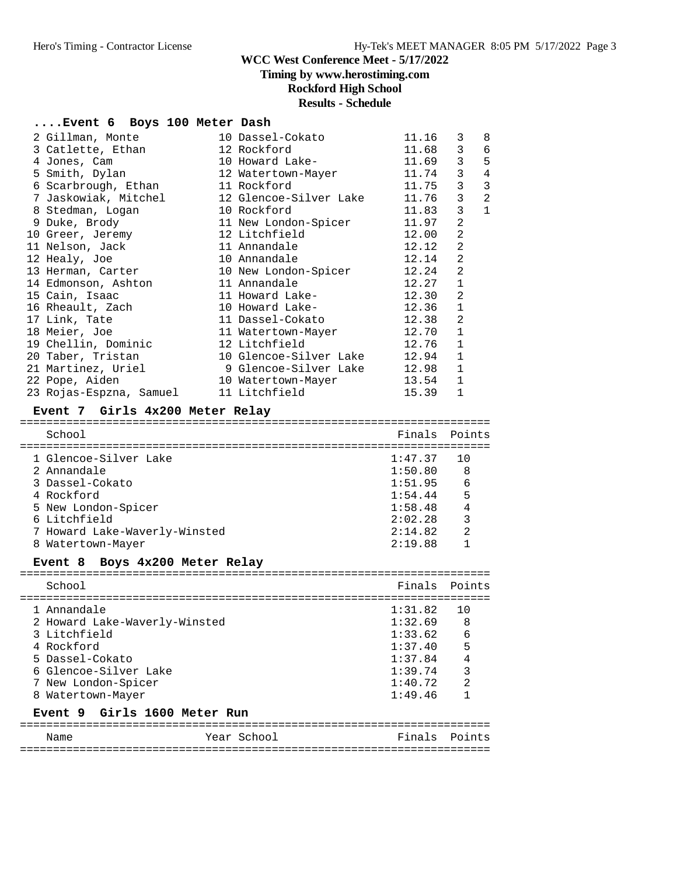# **Timing by www.herostiming.com**

**Rockford High School**

# **Results - Schedule**

### **....Event 6 Boys 100 Meter Dash**

| 2 Gillman, Monte                         |  | 10 Dassel-Cokato       | 11.16   | 3              | 8              |  |  |  |
|------------------------------------------|--|------------------------|---------|----------------|----------------|--|--|--|
| 3 Catlette, Ethan                        |  | 12 Rockford            | 11.68   | 3              | 6              |  |  |  |
| 4 Jones, Cam                             |  | 10 Howard Lake-        | 11.69   | 3              | 5              |  |  |  |
| 5 Smith, Dylan                           |  | 12 Watertown-Mayer     | 11.74   | 3              | $\overline{4}$ |  |  |  |
| 6 Scarbrough, Ethan                      |  | 11 Rockford            | 11.75   | $\overline{3}$ | $\mathbf{3}$   |  |  |  |
| 7 Jaskowiak, Mitchel                     |  | 12 Glencoe-Silver Lake | 11.76   | 3              | $\overline{a}$ |  |  |  |
| 8 Stedman, Logan                         |  | 10 Rockford            | 11.83   | 3              | $1\,$          |  |  |  |
| 9 Duke, Brody                            |  | 11 New London-Spicer   | 11.97   | $\overline{2}$ |                |  |  |  |
| 10 Greer, Jeremy                         |  | 12 Litchfield          | 12.00   | $\overline{2}$ |                |  |  |  |
| 11 Nelson, Jack                          |  | 11 Annandale           | 12.12   | $\overline{2}$ |                |  |  |  |
| 12 Healy, Joe                            |  | 10 Annandale           | 12.14   | $\overline{2}$ |                |  |  |  |
| 13 Herman, Carter                        |  | 10 New London-Spicer   | 12.24   | $\overline{2}$ |                |  |  |  |
| 14 Edmonson, Ashton                      |  | 11 Annandale           | 12.27   | $\mathbf{1}$   |                |  |  |  |
| 15 Cain, Isaac                           |  | 11 Howard Lake-        | 12.30   | $\overline{2}$ |                |  |  |  |
| 16 Rheault, Zach                         |  | 10 Howard Lake-        | 12.36   | $\mathbf{1}$   |                |  |  |  |
| 17 Link, Tate                            |  | 11 Dassel-Cokato       | 12.38   | $\overline{2}$ |                |  |  |  |
| 18 Meier, Joe                            |  | 11 Watertown-Mayer     | 12.70   | $\mathbf{1}$   |                |  |  |  |
| 19 Chellin, Dominic                      |  | 12 Litchfield          | 12.76   | $\mathbf{1}$   |                |  |  |  |
| 20 Taber, Tristan                        |  | 10 Glencoe-Silver Lake | 12.94   | $\mathbf{1}$   |                |  |  |  |
| 21 Martinez, Uriel                       |  | 9 Glencoe-Silver Lake  | 12.98   | $\mathbf{1}$   |                |  |  |  |
| 22 Pope, Aiden                           |  | 10 Watertown-Mayer     | 13.54   | $\mathbf{1}$   |                |  |  |  |
| 23 Rojas-Espzna, Samuel                  |  | 11 Litchfield          | 15.39   | $\mathbf{1}$   |                |  |  |  |
| Event 7 Girls 4x200 Meter Relay          |  |                        |         |                |                |  |  |  |
|                                          |  |                        |         |                |                |  |  |  |
| School                                   |  |                        | Finals  | Points         |                |  |  |  |
| 1 Glencoe-Silver Lake                    |  |                        | 1:47.37 | 10             |                |  |  |  |
| 2 Annandale                              |  |                        | 1:50.80 | 8              |                |  |  |  |
| 3 Dassel-Cokato                          |  |                        | 1:51.95 | 6              |                |  |  |  |
| 4 Rockford                               |  |                        | 1:54.44 | 5              |                |  |  |  |
| 5 New London-Spicer                      |  |                        | 1:58.48 | $\sqrt{4}$     |                |  |  |  |
| 6 Litchfield                             |  |                        | 2:02.28 | $\mathbf{3}$   |                |  |  |  |
| 7 Howard Lake-Waverly-Winsted            |  |                        | 2:14.82 | $\overline{2}$ |                |  |  |  |
| 8 Watertown-Mayer                        |  |                        | 2:19.88 | $\mathbf{1}$   |                |  |  |  |
| Boys 4x200 Meter Relay<br><b>Event 8</b> |  |                        |         |                |                |  |  |  |
|                                          |  |                        |         |                |                |  |  |  |

| School                                                                                                                                                             | Finals Points                                                                        |                                                               |
|--------------------------------------------------------------------------------------------------------------------------------------------------------------------|--------------------------------------------------------------------------------------|---------------------------------------------------------------|
| 1 Annandale<br>2 Howard Lake-Waverly-Winsted<br>3 Litchfield<br>4 Rockford<br>5 Dassel-Cokato<br>6 Glencoe-Silver Lake<br>7 New London-Spicer<br>8 Watertown-Mayer | 1:31.82<br>1:32.69<br>1:33.62<br>1:37.40<br>1:37.84<br>1:39.74<br>1:40.72<br>1:49.46 | 1 O<br>8<br>- 6<br>5<br>$\overline{4}$<br>3<br>$\mathfrak{D}$ |
| Event 9 Girls 1600 Meter Run                                                                                                                                       |                                                                                      |                                                               |
|                                                                                                                                                                    |                                                                                      |                                                               |

Name  $Year School$  Finals Points =======================================================================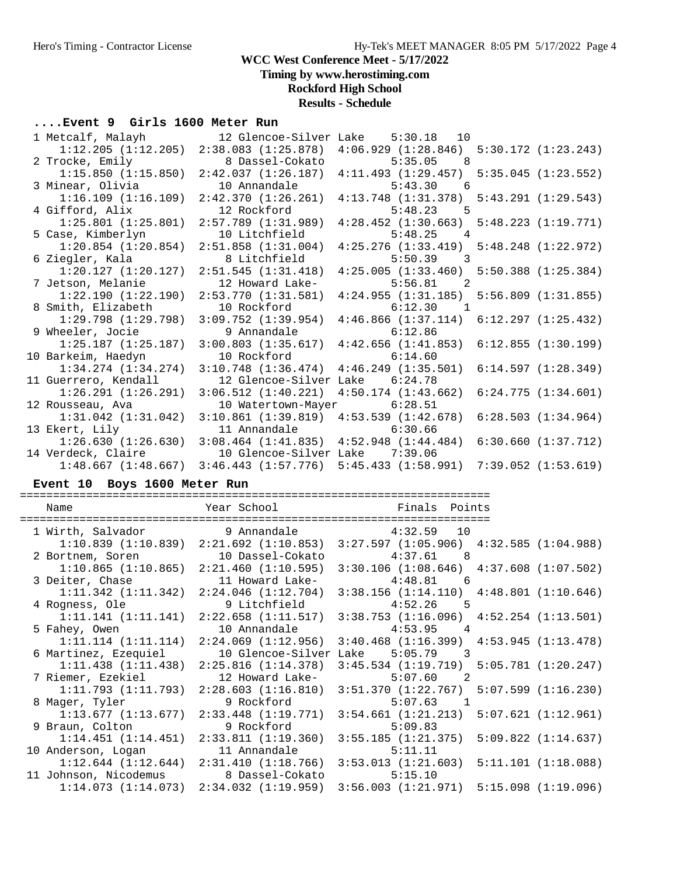**Timing by www.herostiming.com**

## **Rockford High School**

# **Results - Schedule**

## **....Event 9 Girls 1600 Meter Run**

| 1 Metcalf, Malayh       |                                                 | 12 Glencoe-Silver Lake 5:30.18 10                                       |                     |
|-------------------------|-------------------------------------------------|-------------------------------------------------------------------------|---------------------|
| 1:12.205(1:12.205)      | 2:38.083(1:25.878)                              | $4:06.929$ $(1:28.846)$ $5:30.172$ $(1:23.243)$                         |                     |
| 2 Trocke, Emily         | 8 Dassel-Cokato                                 | $5:35.05$ 8                                                             |                     |
| 1:15.850(1:15.850)      | 2:42.037(1:26.187)                              | $4:11.493$ $(1:29.457)$ $5:35.045$ $(1:23.552)$                         |                     |
| 3 Minear, Olivia        | 10 Annandale                                    | $5:43.30$ 6                                                             |                     |
| 1:16.109(1:16.109)      | 2:42.370(1:26.261)                              | $4:13.748$ $(1:31.378)$ $5:43.291$ $(1:29.543)$                         |                     |
| 4 Gifford, Alix         | 12 Rockford                                     | $5:48.23$ 5                                                             |                     |
| $1:25.801$ $(1:25.801)$ | 2:57.789(1:31.989)                              | $4:28.452$ $(1:30.663)$ $5:48.223$ $(1:19.771)$                         |                     |
| 5 Case, Kimberlyn       | 10 Litchfield                                   | $5:48.25$ 4                                                             |                     |
| $1:20.854$ $(1:20.854)$ | 2:51.858(1:31.004)                              | $4:25.276$ $(1:33.419)$ $5:48.248$ $(1:22.972)$                         |                     |
| 6 Ziegler, Kala         | 8 Litchfield                                    | $5:50.39$ 3                                                             |                     |
| 1:20.127(1:20.127)      | 2:51.545(1:31.418)                              | $4:25.005$ $(1:33.460)$ $5:50.388$ $(1:25.384)$                         |                     |
| 7 Jetson, Melanie       | 12 Howard Lake-                                 | 5:56.81<br>$\overline{2}$                                               |                     |
| 1:22.190(1:22.190)      | 2:53.770(1:31.581)                              | 4:24.955(1:31.185)                                                      | 5:56.809(1:31.855)  |
| 8 Smith, Elizabeth      | 10 Rockford                                     | $6:12.30$ 1                                                             |                     |
| $1:29.798$ $(1:29.798)$ |                                                 | $3:09.752$ $(1:39.954)$ $4:46.866$ $(1:37.114)$ $6:12.297$ $(1:25.432)$ |                     |
| 9 Wheeler, Jocie        | 9 Annandale                                     | 6:12.86                                                                 |                     |
| 1:25.187(1:25.187)      |                                                 | $3:00.803$ (1:35.617) $4:42.656$ (1:41.853) 6:12.855 (1:30.199)         |                     |
| 10 Barkeim, Haedyn      | 10 Rockford                                     | 6:14.60                                                                 |                     |
| $1:34.274$ $(1:34.274)$ | $3:10.748$ $(1:36.474)$                         | 4:46.249(1:35.501)                                                      | 6:14.597(1:28.349)  |
| 11 Guerrero, Kendall    | 12 Glencoe-Silver Lake 6:24.78                  |                                                                         |                     |
| 1:26.291(1:26.291)      | 3:06.512(1:40.221)                              | $4:50.174$ $(1:43.662)$                                                 | 6:24.775(1:34.601)  |
| 12 Rousseau, Ava        | 10 Watertown-Mayer                              | 6:28.51                                                                 |                     |
| $1:31.042$ $(1:31.042)$ | $3:10.861$ $(1:39.819)$ $4:53.539$ $(1:42.678)$ |                                                                         | 6:28.503(1:34.964)  |
| 13 Ekert, Lily          | 11 Annandale 6:30.66                            |                                                                         |                     |
| 1:26.630(1:26.630)      | $3:08.464$ $(1:41.835)$ $4:52.948$ $(1:44.484)$ |                                                                         | 6:30.660(1:37.712)  |
| 14 Verdeck, Claire      | 10 Glencoe-Silver Lake 7:39.06                  |                                                                         |                     |
| 1:48.667(1:48.667)      | 3:46.443(1:57.776)                              | 5:45.433(1:58.991)                                                      | 7:39.052 (1:53.619) |

### **Event 10 Boys 1600 Meter Run**

| Name                                                                    | <b>Example 1</b> Year School <b>Example 2</b> Finals Points                                                                                                                                                                   |             |  |
|-------------------------------------------------------------------------|-------------------------------------------------------------------------------------------------------------------------------------------------------------------------------------------------------------------------------|-------------|--|
|                                                                         |                                                                                                                                                                                                                               |             |  |
| 1 Wirth, Salvador 9 Annandale 4:32.59 10                                |                                                                                                                                                                                                                               |             |  |
|                                                                         | $1:10.839$ $(1:10.839)$ $2:21.692$ $(1:10.853)$ $3:27.597$ $(1:05.906)$ $4:32.585$ $(1:04.988)$                                                                                                                               |             |  |
| 2 Bortnem, Soren 10 Dassel-Cokato 4:37.61 8                             |                                                                                                                                                                                                                               |             |  |
|                                                                         | $1:10.865$ (1:10.865) $2:21.460$ (1:10.595) $3:30.106$ (1:08.646) $4:37.608$ (1:07.502)                                                                                                                                       |             |  |
| 3 Deiter, Chase               11 Howard Lake-             4:48.81     6 |                                                                                                                                                                                                                               |             |  |
|                                                                         | $1:11.342$ $(1:11.342)$ $2:24.046$ $(1:12.704)$ $3:38.156$ $(1:14.110)$ $4:48.801$ $(1:10.646)$                                                                                                                               |             |  |
| 4 Rogness, Ole 5 9 Litchfield 4:52.26 5                                 |                                                                                                                                                                                                                               |             |  |
|                                                                         | $1:11.141$ $(1:11.141)$ $2:22.658$ $(1:11.517)$ $3:38.753$ $(1:16.096)$ $4:52.254$ $(1:13.501)$                                                                                                                               |             |  |
| 5 Fahey, Owen 10 Annandale 4:53.95 4                                    |                                                                                                                                                                                                                               |             |  |
|                                                                         | $1:11.114$ $(1:11.114)$ $2:24.069$ $(1:12.956)$ $3:40.468$ $(1:16.399)$ $4:53.945$ $(1:13.478)$                                                                                                                               |             |  |
| 6 Martinez, Ezequiel 10 Glencoe-Silver Lake 5:05.79 3                   |                                                                                                                                                                                                                               |             |  |
|                                                                         | $1:11.438$ $(1:11.438)$ $2:25.816$ $(1:14.378)$ $3:45.534$ $(1:19.719)$ $5:05.781$ $(1:20.247)$                                                                                                                               |             |  |
| 7 Riemer, Ezekiel                     12 Howard Lake-                   |                                                                                                                                                                                                                               | 5:07.60 2   |  |
|                                                                         | $1:11.793$ $(1:11.793)$ $2:28.603$ $(1:16.810)$ $3:51.370$ $(1:22.767)$ $5:07.599$ $(1:16.230)$                                                                                                                               |             |  |
| 8 Mager, Tyler 5 9 Rockford                                             |                                                                                                                                                                                                                               | $5:07.63$ 1 |  |
|                                                                         | $1:13.677$ $(1:13.677)$ $2:33.448$ $(1:19.771)$ $3:54.661$ $(1:21.213)$ $5:07.621$ $(1:12.961)$                                                                                                                               |             |  |
| 9 Braun, Colton                                                         | 9 Rockford 9 and 20 April 19 and 20 April 20 April 20 April 20 April 20 April 20 April 20 April 20 April 20 April 20 April 20 April 20 April 20 April 20 April 20 April 20 April 20 April 20 April 20 April 20 April 20 April | 5:09.83     |  |
|                                                                         | $1:14.451$ $(1:14.451)$ $2:33.811$ $(1:19.360)$ $3:55.185$ $(1:21.375)$ $5:09.822$ $(1:14.637)$                                                                                                                               |             |  |
|                                                                         |                                                                                                                                                                                                                               | 5:11.11     |  |
|                                                                         | $1:12.644$ $(1:12.644)$ $2:31.410$ $(1:18.766)$ $3:53.013$ $(1:21.603)$ $5:11.101$ $(1:18.088)$                                                                                                                               |             |  |
| 11 Johnson, Nicodemus 8 Dassel-Cokato 5:15.10                           |                                                                                                                                                                                                                               |             |  |
|                                                                         | $1:14.073$ $(1:14.073)$ $2:34.032$ $(1:19.959)$ $3:56.003$ $(1:21.971)$ $5:15.098$ $(1:19.096)$                                                                                                                               |             |  |
|                                                                         |                                                                                                                                                                                                                               |             |  |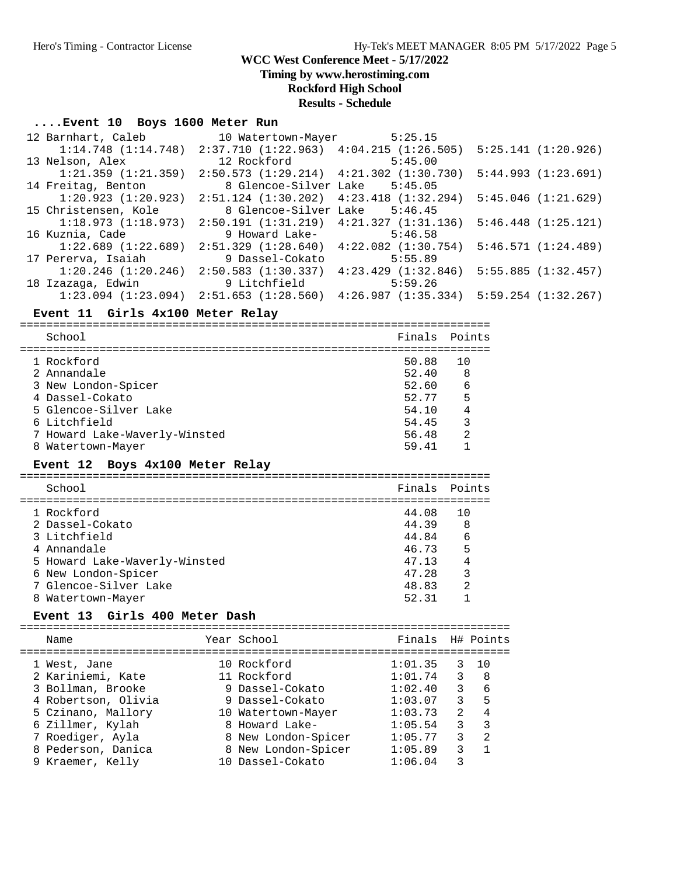**Timing by www.herostiming.com**

### **Rockford High School**

**Results - Schedule**

#### **....Event 10 Boys 1600 Meter Run**

| 12 Barnhart, Caleb      | 10 Watertown-Mayer 5:25.15                      |                         |                         |
|-------------------------|-------------------------------------------------|-------------------------|-------------------------|
| $1:14.748$ $(1:14.748)$ | $2:37.710$ $(1:22.963)$ $4:04.215$ $(1:26.505)$ |                         | 5:25.141(1:20.926)      |
| 13 Nelson, Alex         | 12 Rockford                                     | 5:45.00                 |                         |
| $1:21.359$ $(1:21.359)$ | $2:50.573$ $(1:29.214)$ $4:21.302$ $(1:30.730)$ |                         | 5:44.993(1:23.691)      |
| 14 Freitag, Benton      | 8 Glencoe-Silver Lake 5:45.05                   |                         |                         |
| 1:20.923(1:20.923)      | $2:51.124$ $(1:30.202)$                         | $4:23.418$ $(1:32.294)$ | 5:45.046(1:21.629)      |
| 15 Christensen, Kole    | 8 Glencoe-Silver Lake 5:46.45                   |                         |                         |
| 1:18.973(1:18.973)      | $2:50.191$ $(1:31.219)$ $4:21.327$ $(1:31.136)$ |                         | $5:46.448$ $(1:25.121)$ |
| 16 Kuznia, Cade         | 9 Howard Lake-                                  | 5:46.58                 |                         |
| $1:22.689$ $(1:22.689)$ | 2:51.329(1:28.640)                              | $4:22.082$ $(1:30.754)$ | 5:46.571(1:24.489)      |
| 17 Pererva, Isaiah      | 9 Dassel-Cokato                                 | 5:55.89                 |                         |
| $1:20.246$ $(1:20.246)$ | 2:50.583(1:30.337)                              | $4:23.429$ $(1:32.846)$ | 5:55.885(1:32.457)      |
| 18 Izazaga, Edwin       | 9 Litchfield                                    | 5:59.26                 |                         |
| $1:23.094$ $(1:23.094)$ | 2:51.653(1:28.560)                              | 4:26.987(1:35.334)      | 5:59.254 (1:32.267)     |

#### **Event 11 Girls 4x100 Meter Relay**

=======================================================================

|   | School                        | Finals Points |                |
|---|-------------------------------|---------------|----------------|
|   | 1 Rockford                    | 50.88         |                |
|   |                               |               |                |
|   | 2 Annandale                   | 52.40         | 8              |
|   | 3 New London-Spicer           | 52.60         | 6              |
|   | 4 Dassel-Cokato               | 52.77         | 5              |
|   | 5 Glencoe-Silver Lake         | 54.10         |                |
|   | 6 Litchfield                  | 54.45         |                |
|   | 7 Howard Lake-Waverly-Winsted | 56.48         | $\mathfrak{D}$ |
| 8 | Watertown-Mayer               | 59.41         |                |
|   |                               |               |                |

#### **Event 12 Boys 4x100 Meter Relay**

======================================================================= School **Finals Points** ======================================================================= 1 Rockford 44.08 10<br>
2 Dassel-Cokato 44.39 8 2 Dassel-Cokato 3 Litchfield 44.84 6 4 Annandale 46.73 5 5 Howard Lake-Waverly-Winsted 47.13 4<br>6 New London-Spicer 47.28 3 6 New London-Spicer 47.28<br>7 Glencoe-Silver Lake 48.83 7 Glencoe-Silver Lake 48.83 2 8 Watertown-Mayer 62.31 1

#### **Event 13 Girls 400 Meter Dash**

========================================================================== Name Year School Finals H# Points ========================================================================== 1 West, Jane 10 Rockford 1:01.35 3 10 2 Kariniemi, Kate 11 Rockford 1:01.74 3 8 3 Bollman, Brooke 9 Dassel-Cokato 1:02.40 3 6 4 Robertson, Olivia 9 Dassel-Cokato 1:03.07 3 5 5 Czinano, Mallory 10 Watertown-Mayer 1:03.73 2 4 6 Zillmer, Kylah 8 Howard Lake- 1:05.54 3 3 7 Roediger, Ayla 8 New London-Spicer 1:05.77 3 2 8 Pederson, Danica 8 New London-Spicer 1:05.89 3 1 9 Kraemer, Kelly 10 Dassel-Cokato 1:06.04 3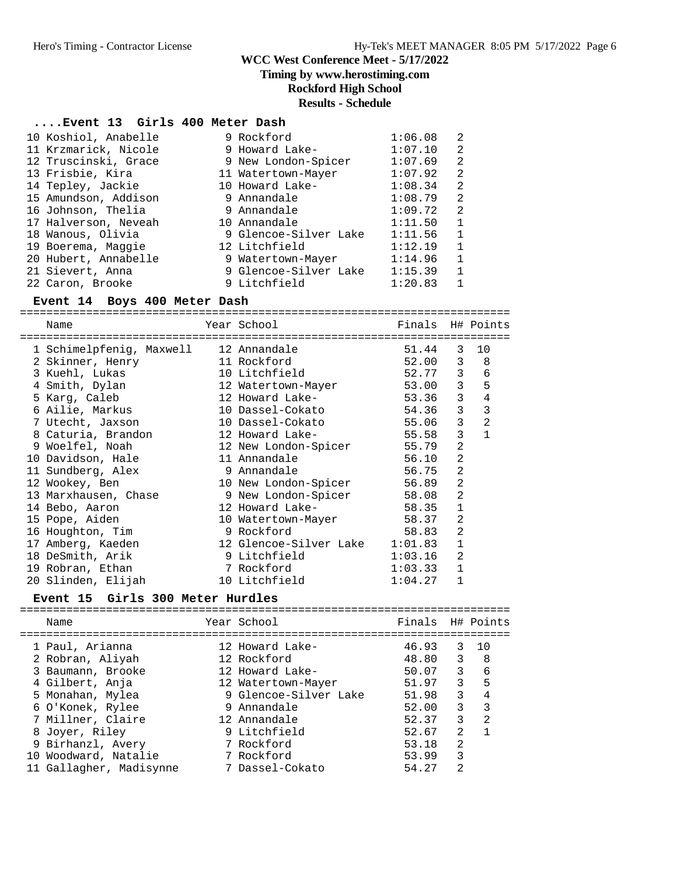**Timing by www.herostiming.com**

### **Rockford High School**

## **Results - Schedule**

#### **....Event 13 Girls 400 Meter Dash**

| 10 Koshiol, Anabelle | 9 Rockford            | 1:06.08 | 2              |
|----------------------|-----------------------|---------|----------------|
| 11 Krzmarick, Nicole | 9 Howard Lake-        | 1:07.10 | 2              |
| 12 Truscinski, Grace | 9 New London-Spicer   | 1:07.69 | 2              |
| 13 Frisbie, Kira     | 11 Watertown-Mayer    | 1:07.92 | 2              |
| 14 Tepley, Jackie    | 10 Howard Lake-       | 1:08.34 | 2              |
| 15 Amundson, Addison | 9 Annandale           | 1:08.79 | $\overline{2}$ |
| 16 Johnson, Thelia   | 9 Annandale           | 1:09.72 | $\overline{2}$ |
| 17 Halverson, Neveah | 10 Annandale          | 1:11.50 | $\mathbf{1}$   |
| 18 Wanous, Olivia    | 9 Glencoe-Silver Lake | 1:11.56 | $\mathbf 1$    |
| 19 Boerema, Maggie   | 12 Litchfield         | 1:12.19 | $\mathbf{1}$   |
| 20 Hubert, Annabelle | 9 Watertown-Mayer     | 1:14.96 | $\mathbf{1}$   |
| 21 Sievert, Anna     | 9 Glencoe-Silver Lake | 1:15.39 | $\mathbf{1}$   |
| 22 Caron, Brooke     | 9 Litchfield          | 1:20.83 |                |

#### **Event 14 Boys 400 Meter Dash**

========================================================================== Name The Year School The Finals H# Points ========================================================================== 1 Schimelpfenig, Maxwell 12 Annandale 51.44 3 10 2 Skinner, Henry 11 Rockford 52.00 3 8 3 Kuehl, Lukas 10 Litchfield 52.77 3 6 4 Smith, Dylan 12 Watertown-Mayer 53.00 3 5 5 Karg, Caleb 12 Howard Lake- 53.36 3 4 6 Ailie, Markus 10 Dassel-Cokato 54.36 3 3 7 Utecht, Jaxson 10 Dassel-Cokato 55.06 3 2 8 Caturia, Brandon 12 Howard Lake- 55.58 3 1 9 Woelfel, Noah 12 New London-Spicer 55.79 2 10 Davidson, Hale 11 Annandale 56.10 2 11 Sundberg, Alex 9 Annandale 56.75 2 12 Wookey, Ben 10 New London-Spicer 56.89 2 13 Marxhausen, Chase 9 New London-Spicer 58.08 2 14 Bebo, Aaron 12 Howard Lake- 58.35 1 15 Pope, Aiden 10 Watertown-Mayer 58.37 2 16 Houghton, Tim 9 Rockford 58.83 2 17 Amberg, Kaeden 12 Glencoe-Silver Lake 1:01.83 1 18 DeSmith, Arik 9 Litchfield 1:03.16 2 19 Robran, Ethan 7 Rockford 1:03.33 1 20 Slinden, Elijah 10 Litchfield 1:04.27 1

#### **Event 15 Girls 300 Meter Hurdles**

| Name                                | Year School                    | Finals H# Points |                |                |
|-------------------------------------|--------------------------------|------------------|----------------|----------------|
| 1 Paul, Arianna<br>2 Robran, Aliyah | 12 Howard Lake-<br>12 Rockford | 46.93<br>48.80   | 3<br>3         | - 1 O<br>8     |
| 3 Baumann, Brooke                   | 12 Howard Lake-                | 50.07            | 3              | 6              |
| 4 Gilbert, Anja                     | 12 Watertown-Mayer             | 51.97            | 3              | 5              |
| 5 Monahan, Mylea                    | 9 Glencoe-Silver Lake          | 51.98            | 3              | 4              |
| 6 O'Konek, Rylee                    | 9 Annandale                    | 52.00            | 3              | 3              |
| 7 Millner, Claire                   | 12 Annandale                   | 52.37            | 3              | $\mathfrak{D}$ |
| 8 Joyer, Riley                      | 9 Litchfield                   | 52.67            | $\mathfrak{D}$ |                |
| 9 Birhanzl, Avery                   | 7 Rockford                     | 53.18            | $\mathfrak{D}$ |                |
| 10 Woodward, Natalie                | 7 Rockford                     | 53.99            | 3              |                |
| 11 Gallagher, Madisynne             | 7 Dassel-Cokato                | 54.27            | 2              |                |
|                                     |                                |                  |                |                |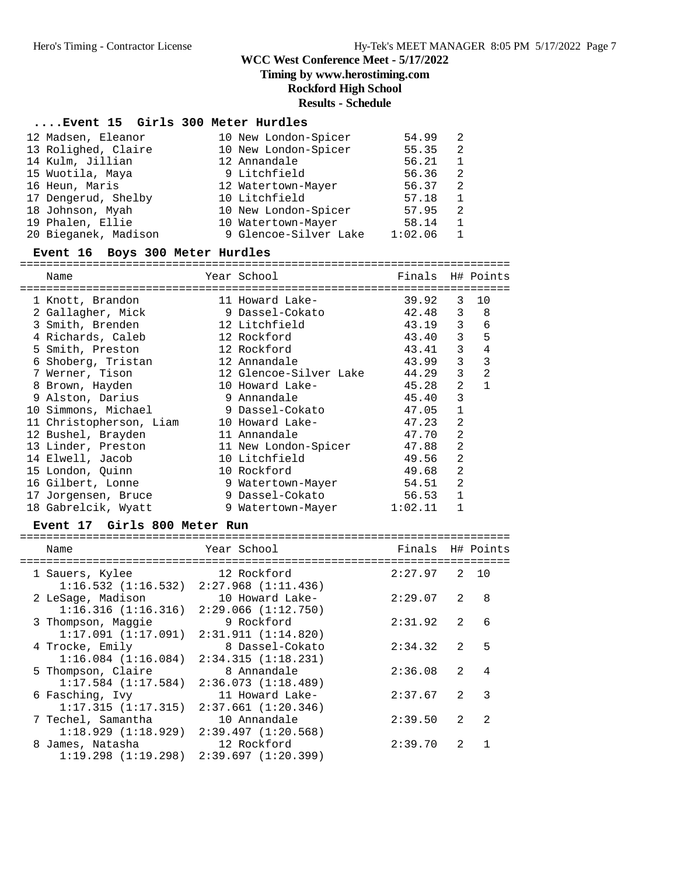**Timing by www.herostiming.com**

# **Rockford High School**

**Results - Schedule**

## **....Event 15 Girls 300 Meter Hurdles**

| 12 Madsen, Eleanor   | 10 New London-Spicer  | 54.99   | 2 |
|----------------------|-----------------------|---------|---|
| 13 Rolighed, Claire  | 10 New London-Spicer  | 55.35   | 2 |
| 14 Kulm, Jillian     | 12 Annandale          | 56.21   |   |
| 15 Wuotila, Maya     | 9 Litchfield          | 56.36   | 2 |
| 16 Heun, Maris       | 12 Watertown-Mayer    | 56.37   | 2 |
| 17 Dengerud, Shelby  | 10 Litchfield         | 57.18   |   |
| 18 Johnson, Myah     | 10 New London-Spicer  | 57.95   | 2 |
| 19 Phalen, Ellie     | 10 Watertown-Mayer    | 58.14   |   |
| 20 Bieganek, Madison | 9 Glencoe-Silver Lake | 1:02.06 |   |

#### **Event 16 Boys 300 Meter Hurdles**

==========================================================================

| Name                    | Year School            | Finals  |                | H# Points    |
|-------------------------|------------------------|---------|----------------|--------------|
| 1 Knott, Brandon        | 11 Howard Lake-        | 39.92   | 3              | 10           |
| 2 Gallagher, Mick       | 9 Dassel-Cokato        | 42.48   | 3              | 8            |
| 3 Smith, Brenden        | 12 Litchfield          | 43.19   | 3              | 6            |
| 4 Richards, Caleb       | 12 Rockford            | 43.40   | 3              | 5            |
| 5 Smith, Preston        | 12 Rockford            | 43.41   | 3              | 4            |
| 6 Shoberg, Tristan      | 12 Annandale           | 43.99   | 3              | 3            |
| 7 Werner, Tison         | 12 Glencoe-Silver Lake | 44.29   | 3              | 2            |
| 8 Brown, Hayden         | 10 Howard Lake-        | 45.28   | $\mathfrak{D}$ | $\mathbf{1}$ |
| 9 Alston, Darius        | 9 Annandale            | 45.40   | 3              |              |
| 10 Simmons, Michael     | 9 Dassel-Cokato        | 47.05   | $\mathbf{1}$   |              |
| 11 Christopherson, Liam | 10 Howard Lake-        | 47.23   | 2              |              |
| 12 Bushel, Brayden      | 11 Annandale           | 47.70   | $\overline{2}$ |              |
| 13 Linder, Preston      | 11 New London-Spicer   | 47.88   | $\overline{2}$ |              |
| 14 Elwell, Jacob        | 10 Litchfield          | 49.56   | 2              |              |
| 15 London, Quinn        | 10 Rockford            | 49.68   | $\overline{a}$ |              |
| 16 Gilbert, Lonne       | 9 Watertown-Mayer      | 54.51   | $\overline{2}$ |              |
| 17 Jorgensen, Bruce     | 9 Dassel-Cokato        | 56.53   | $\mathbf{1}$   |              |
| 18 Gabrelcik, Wyatt     | 9 Watertown-Mayer      | 1:02.11 |                |              |

#### **Event 17 Girls 800 Meter Run**

| Name                                                                  | Year School                           | Finals H# Points |                          |               |
|-----------------------------------------------------------------------|---------------------------------------|------------------|--------------------------|---------------|
| 1 Sauers, Kylee                                                       | 12 Rockford                           | $2:27.97$ 2 10   |                          |               |
| $1:16.532$ $(1:16.532)$ $2:27.968$ $(1:11.436)$<br>2 LeSage, Madison  | 10 Howard Lake-                       | 2:29.07 2        |                          | 8             |
| $1:16.316$ $(1:16.316)$ $2:29.066$ $(1:12.750)$<br>3 Thompson, Maggie | 9 Rockford                            | 2:31.92          | $\overline{\phantom{a}}$ | 6             |
| $1:17.091$ $(1:17.091)$ $2:31.911$ $(1:14.820)$                       |                                       |                  |                          |               |
| 4 Trocke, Emily<br>$1:16.084$ $(1:16.084)$                            | 8 Dassel-Cokato<br>2:34.315(1:18.231) | 2:34.32          | 2                        | 5             |
| 5 Thompson, Claire                                                    | 8 Annandale                           | 2:36.08          | 2                        | 4             |
| $1:17.584$ (1:17.584)<br>6 Fasching, Ivy                              | 2:36.073(1:18.489)<br>11 Howard Lake- | 2:37.67          | 2                        | 3             |
| $1:17.315$ $(1:17.315)$ $2:37.661$ $(1:20.346)$                       |                                       | 2:39.50          | $\mathcal{L}$            | $\mathcal{L}$ |
| 7 Techel, Samantha<br>$1:18.929$ $(1:18.929)$ $2:39.497$ $(1:20.568)$ | 10 Annandale                          |                  |                          |               |
| 8 James, Natasha<br>$1:19.298$ $(1:19.298)$ $2:39.697$ $(1:20.399)$   | 12 Rockford                           | 2:39.70          |                          |               |
|                                                                       |                                       |                  |                          |               |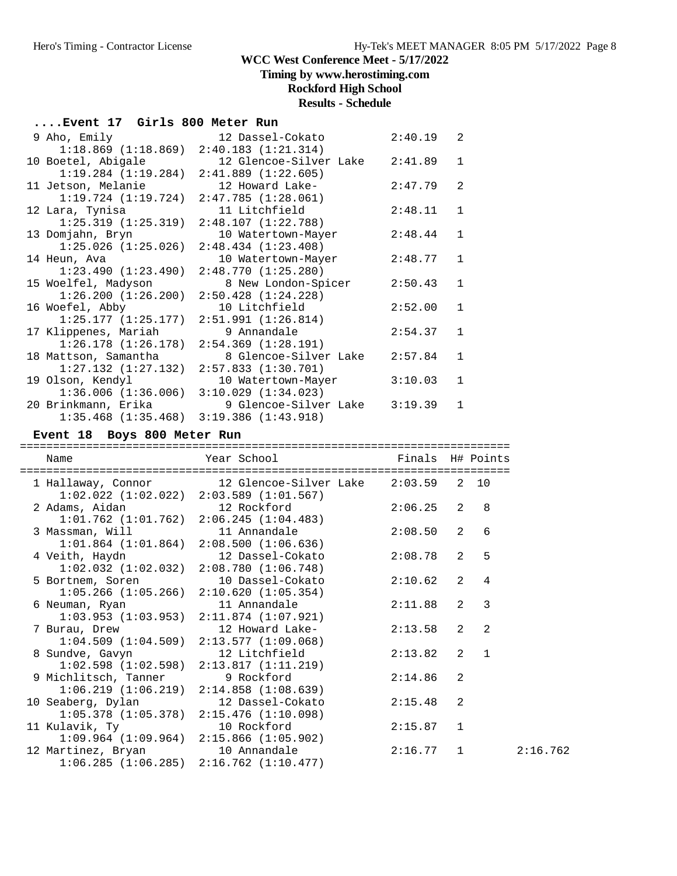## **Timing by www.herostiming.com**

## **Rockford High School**

### **Results - Schedule**

### **....Event 17 Girls 800 Meter Run**

| 9 Aho, Emily            | 12 Dassel-Cokato       | 2:40.19 | 2              |
|-------------------------|------------------------|---------|----------------|
| 1:18.869(1:18.869)      | 2:40.183(1:21.314)     |         |                |
| 10 Boetel, Abigale      | 12 Glencoe-Silver Lake | 2:41.89 | $\mathbf{1}$   |
| 1:19.284(1:19.284)      | 2:41.889(1:22.605)     |         |                |
| 11 Jetson, Melanie      | 12 Howard Lake-        | 2:47.79 | $\mathfrak{D}$ |
| 1:19.724(1:19.724)      | 2:47.785(1:28.061)     |         |                |
| 12 Lara, Tynisa         | 11 Litchfield          | 2:48.11 | $\mathbf{1}$   |
| 1:25.319(1:25.319)      | 2:48.107(1:22.788)     |         |                |
| 13 Domjahn, Bryn        | 10 Watertown-Mayer     | 2:48.44 | $\mathbf{1}$   |
| $1:25.026$ $(1:25.026)$ | 2:48.434(1:23.408)     |         |                |
| 14 Heun, Ava            | 10 Watertown-Mayer     | 2:48.77 | $\mathbf{1}$   |
| 1:23.490(1:23.490)      | 2:48.770(1:25.280)     |         |                |
| 15 Woelfel, Madyson     | 8 New London-Spicer    | 2:50.43 | $\mathbf{1}$   |
| 1:26.200(1:26.200)      | 2:50.428(1:24.228)     |         |                |
| 16 Woefel, Abby         | 10 Litchfield          | 2:52.00 | $\mathbf{1}$   |
| 1:25.177(1:25.177)      | 2:51.991(1:26.814)     |         |                |
| 17 Klippenes, Mariah    | 9 Annandale            | 2:54.37 | $\mathbf{1}$   |
| $1:26.178$ $(1:26.178)$ | 2:54.369(1:28.191)     |         |                |
| 18 Mattson, Samantha    | 8 Glencoe-Silver Lake  | 2:57.84 | $\mathbf{1}$   |
| $1:27.132$ $(1:27.132)$ | 2:57.833(1:30.701)     |         |                |
| 19 Olson, Kendyl        | 10 Watertown-Mayer     | 3:10.03 | $\mathbf{1}$   |
| 1:36.006(1:36.006)      | 3:10.029(1:34.023)     |         |                |
| 20 Brinkmann, Erika     | 9 Glencoe-Silver Lake  | 3:19.39 | 1              |
| $1:35.468$ $(1:35.468)$ | 3:19.386(1:43.918)     |         |                |

### **Event 18 Boys 800 Meter Run**

| Name            |                                            | Year School                                                                                               | Finals H# Points |                |                             |
|-----------------|--------------------------------------------|-----------------------------------------------------------------------------------------------------------|------------------|----------------|-----------------------------|
|                 |                                            | 1 Hallaway, Connor 12 Glencoe-Silver Lake 2:03.59 2 10<br>$1:02.022$ $(1:02.022)$ $2:03.589$ $(1:01.567)$ |                  |                |                             |
|                 |                                            | 2 Adams, Aidan 12 Rockford<br>$1:01.762$ $(1:01.762)$ $2:06.245$ $(1:04.483)$                             | $2:06.25$ 2 8    |                |                             |
| 3 Massman, Will |                                            | 11 Annandale<br>$1:01.864$ $(1:01.864)$ $2:08.500$ $(1:06.636)$                                           | 2:08.50          |                | $\overline{2}$<br>6         |
| 4 Veith, Haydn  |                                            | 12 Dassel-Cokato<br>$1:02.032$ $(1:02.032)$ $2:08.780$ $(1:06.748)$                                       | 2:08.78          | $2^{\circ}$    | 5                           |
|                 |                                            | 5 Bortnem, Soren 10 Dassel-Cokato<br>$1:05.266$ (1:05.266) $2:10.620$ (1:05.354)                          | $2:10.62$ 2      |                | 4                           |
| 6 Neuman, Ryan  |                                            | 11 Annandale<br>$1:03.953$ $(1:03.953)$ $2:11.874$ $(1:07.921)$                                           | 2:11.88          | $\overline{2}$ | 3                           |
| 7 Burau, Drew   |                                            | 12 Howard Lake-<br>$1:04.509$ $(1:04.509)$ $2:13.577$ $(1:09.068)$                                        | 2:13.58          | $2^{\circ}$    | 2                           |
| 8 Sundve, Gavyn |                                            | 12 Litchfield<br>$1:02.598$ $(1:02.598)$ $2:13.817$ $(1:11.219)$                                          | 2:13.82          |                | $2^{\circ}$<br>$\mathbf{1}$ |
|                 | 9 Michlitsch, Tanner                       | 9 Rockford<br>$1:06.219$ $(1:06.219)$ $2:14.858$ $(1:08.639)$                                             | 2:14.86          | 2              |                             |
|                 | 10 Seaberg, Dylan<br>$1:05.378$ (1:05.378) | 12 Dassel-Cokato<br>2:15.476(1:10.098)                                                                    | 2:15.48          | 2              |                             |
|                 |                                            | 11 Kulavik, Ty 10 Rockford<br>$1:09.964$ $(1:09.964)$ $2:15.866$ $(1:05.902)$                             | 2:15.87          | 1              |                             |
|                 |                                            | 12 Martinez, Bryan 10 Annandale<br>$1:06.285$ $(1:06.285)$ $2:16.762$ $(1:10.477)$                        | $2:16.77$ 1      |                | 2:16.762                    |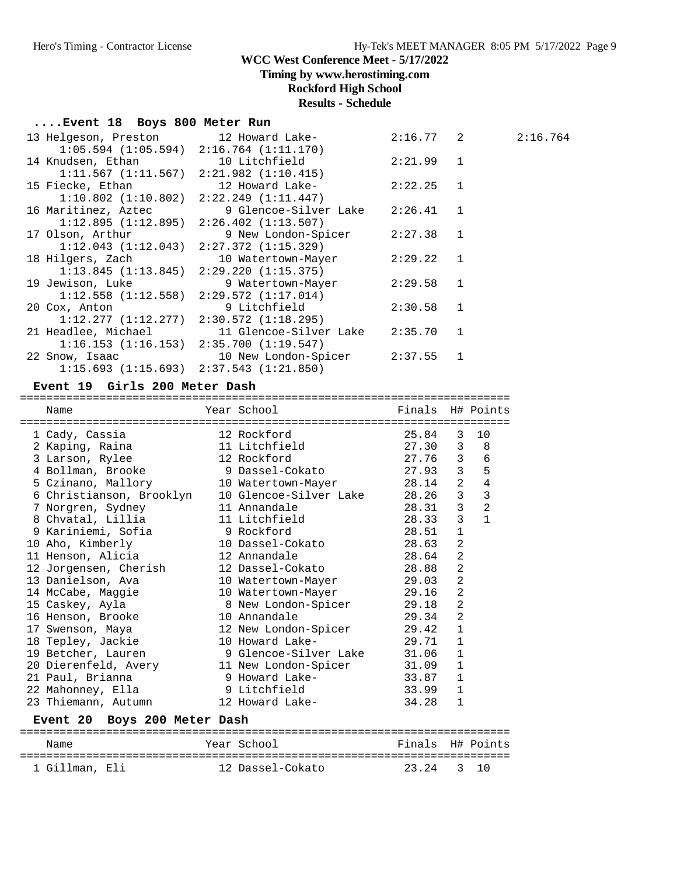**Timing by www.herostiming.com**

#### **Rockford High School**

#### **Results - Schedule**

#### **....Event 18 Boys 800 Meter Run**

| 13 Helgeson, Preston             12 Howard Lake- |                                                        | $2:16.77$ 2 | 2:16.764 |
|--------------------------------------------------|--------------------------------------------------------|-------------|----------|
|                                                  | $1:05.594$ $(1:05.594)$ $2:16.764$ $(1:11.170)$        |             |          |
|                                                  | 14 Knudsen, Ethan 10 Litchfield                        | 2:21.99 1   |          |
|                                                  | $1:11.567$ $(1:11.567)$ $2:21.982$ $(1:10.415)$        |             |          |
|                                                  | 15 Fiecke, Ethan 12 Howard Lake-                       | $2:22.25$ 1 |          |
|                                                  | $1:10.802$ $(1:10.802)$ $2:22.249$ $(1:11.447)$        |             |          |
|                                                  | 16 Maritinez, Aztec 51 9 Glencoe-Silver Lake 2:26.41 1 |             |          |
|                                                  | $1:12.895$ $(1:12.895)$ $2:26.402$ $(1:13.507)$        |             |          |
| 17 Olson, Arthur                                 | 9 New London-Spicer 2:27.38 1                          |             |          |
|                                                  | $1:12.043$ $(1:12.043)$ $2:27.372$ $(1:15.329)$        |             |          |
|                                                  |                                                        | 2:29.22 1   |          |
|                                                  | $1:13.845$ $(1:13.845)$ $2:29.220$ $(1:15.375)$        |             |          |
|                                                  | 19 Jewison, Luke 50 9 Watertown-Mayer                  | 2:29.58 1   |          |
|                                                  | $1:12.558$ $(1:12.558)$ $2:29.572$ $(1:17.014)$        |             |          |
| 20 Cox, Anton                                    | 9 Litchfield                                           | $2:30.58$ 1 |          |
|                                                  | $1:12.277$ $(1:12.277)$ $2:30.572$ $(1:18.295)$        |             |          |
|                                                  | 21 Headlee, Michael 11 Glencoe-Silver Lake 2:35.70 1   |             |          |
|                                                  | $1:16.153$ $(1:16.153)$ $2:35.700$ $(1:19.547)$        |             |          |
|                                                  | 22 Snow, Isaac 10 New London-Spicer 2:37.55 1          |             |          |
|                                                  | $1:15.693$ $(1:15.693)$ $2:37.543$ $(1:21.850)$        |             |          |

#### **Event 19 Girls 200 Meter Dash**

========================================================================== Name Year School Finals H# Points ========================================================================== 1 Cady, Cassia 12 Rockford 25.84 3 10 2 Kaping, Raina 11 Litchfield 27.30 3 8 3 Larson, Rylee 12 Rockford 27.76 3 6 4 Bollman, Brooke 9 Dassel-Cokato 27.93 3 5 5 Czinano, Mallory 10 Watertown-Mayer 28.14 2 4 6 Christianson, Brooklyn 10 Glencoe-Silver Lake 28.26 3 3 7 Norgren, Sydney 11 Annandale 28.31 3 2 8 Chvatal, Lillia 11 Litchfield 28.33 3 1 9 Kariniemi, Sofia 9 Rockford 28.51 1 10 Aho, Kimberly 10 Dassel-Cokato 28.63 2 11 Henson, Alicia 12 Annandale 28.64 2 12 Jorgensen, Cherish 12 Dassel-Cokato 28.88 2 13 Danielson, Ava 10 Watertown-Mayer 29.03 2 14 McCabe, Maggie 10 Watertown-Mayer 29.16 2 15 Caskey, Ayla 8 New London-Spicer 29.18 2 16 Henson, Brooke 10 Annandale 29.34 2 17 Swenson, Maya 12 New London-Spicer 29.42 1 18 Tepley, Jackie 10 Howard Lake- 29.71 1 19 Betcher, Lauren 9 Glencoe-Silver Lake 31.06 1 20 Dierenfeld, Avery 11 New London-Spicer 31.09 1 21 Paul, Brianna 9 Howard Lake- 33.87 1 22 Mahonney, Ella 9 Litchfield 33.99 1 23 Thiemann, Autumn 12 Howard Lake- 34.28 1 **Event 20 Boys 200 Meter Dash** ==========================================================================

 Name Year School Finals H# Points ========================================================================== 1 Gillman, Eli 12 Dassel-Cokato 23.24 3 10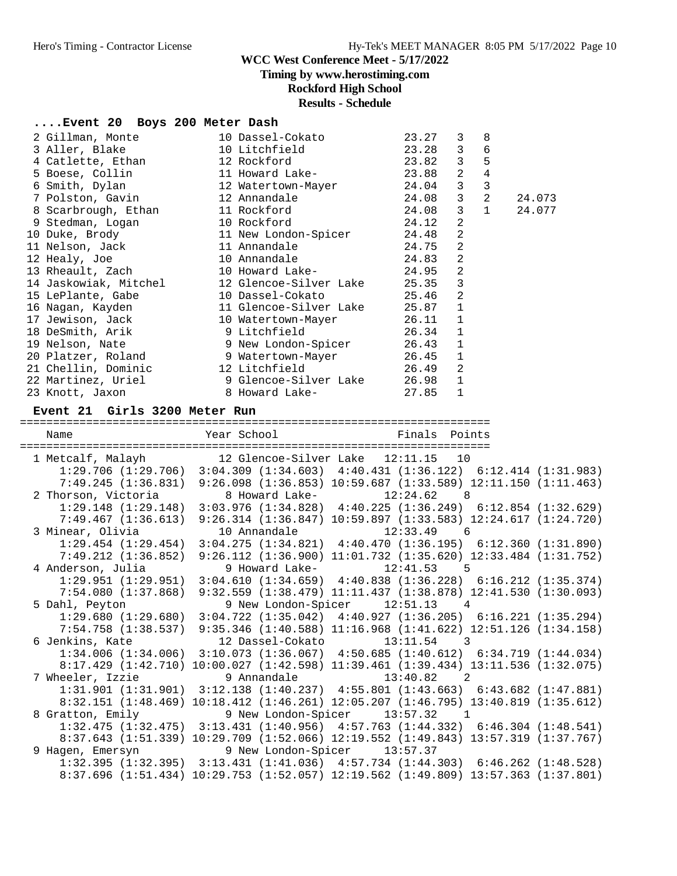**Timing by www.herostiming.com**

### **Rockford High School**

## **Results - Schedule**

#### **....Event 20 Boys 200 Meter Dash**

| 2 Gillman, Monte 10 Dassel-Cokato                                                    |                | 23.27 | $\mathbf{3}$ | 8              |        |
|--------------------------------------------------------------------------------------|----------------|-------|--------------|----------------|--------|
|                                                                                      |                |       |              | 6              |        |
| 4 Catlette, Ethan 12 Rockford 23.82 3                                                |                |       |              | 5              |        |
| 5 Boese, Collin 11 Howard Lake- 23.88 2                                              |                |       |              | $\overline{4}$ |        |
| 6 Smith, Dylan 12 Watertown-Mayer 24.04 3                                            |                |       |              | $\overline{3}$ |        |
|                                                                                      |                |       |              | 2              | 24.073 |
|                                                                                      |                |       | $\mathbf{3}$ | $\mathbf{1}$   | 24.077 |
|                                                                                      |                |       | 2            |                |        |
| 9 Stedman, Logan 10 Rockford 24.12<br>10 Duke, Brody 11 New London-Spicer 24.48      |                |       | 2            |                |        |
| 11 Nelson, Jack and 11 Annandale                                                     | 24.75          |       | 2            |                |        |
|                                                                                      |                |       | 2            |                |        |
| 13 Rheault, Zach 10 Howard Lake- 24.95 2                                             |                |       |              |                |        |
| 14 Jaskowiak, Mitchel 12 Glencoe-Silver Lake 25.35 3                                 |                |       |              |                |        |
| 15 LePlante, Gabe                       10 Dassel-Cokato                       25.46 |                |       | 2            |                |        |
| 16 Nagan, Kayden 11 Glencoe-Silver Lake 25.87 1                                      |                |       |              |                |        |
| 17 Jewison, Jack 10 Watertown-Mayer 26.11 1                                          |                |       |              |                |        |
| 18 DeSmith, Arik 9 Litchfield 26.34 1                                                |                |       |              |                |        |
| 19 Nelson, Nate $\qquad \qquad$ 9 New London-Spicer $\qquad \qquad$ 26.43            |                |       | $\mathbf{1}$ |                |        |
| 20 Platzer, Roland 9 Watertown-Mayer 26.45 1                                         |                |       |              |                |        |
| 21 Chellin, Dominic 12 Litchfield 26.49                                              |                |       | 2            |                |        |
| 22 Martinez, Uriel 9 Glencoe-Silver Lake 26.98 1                                     |                |       |              |                |        |
| 23 Knott, Jaxon                                                                      | 8 Howard Lake- | 27.85 |              |                |        |

#### **Event 21 Girls 3200 Meter Run**

======================================================================= Name **Name** Year School **Finals Points** ======================================================================= 1 Metcalf, Malayh 12 Glencoe-Silver Lake 12:11.15 10 1:29.706 (1:29.706) 3:04.309 (1:34.603) 4:40.431 (1:36.122) 6:12.414 (1:31.983) 7:49.245 (1:36.831) 9:26.098 (1:36.853) 10:59.687 (1:33.589) 12:11.150 (1:11.463) 2 Thorson, Victoria and 8 Howard Lake- 12:24.62 8 1:29.148 (1:29.148) 3:03.976 (1:34.828) 4:40.225 (1:36.249) 6:12.854 (1:32.629) 7:49.467 (1:36.613) 9:26.314 (1:36.847) 10:59.897 (1:33.583) 12:24.617 (1:24.720) 3 Minear, Olivia 10 Annandale 12:33.49 6 1:29.454 (1:29.454) 3:04.275 (1:34.821) 4:40.470 (1:36.195) 6:12.360 (1:31.890) 7:49.212 (1:36.852) 9:26.112 (1:36.900) 11:01.732 (1:35.620) 12:33.484 (1:31.752) 4 Anderson, Julia 9 Howard Lake- 12:41.53 5 1:29.951 (1:29.951) 3:04.610 (1:34.659) 4:40.838 (1:36.228) 6:16.212 (1:35.374) 7:54.080 (1:37.868) 9:32.559 (1:38.479) 11:11.437 (1:38.878) 12:41.530 (1:30.093) 5 Dahl, Peyton 9 New London-Spicer 12:51.13 4 1:29.680 (1:29.680) 3:04.722 (1:35.042) 4:40.927 (1:36.205) 6:16.221 (1:35.294) 7:54.758 (1:38.537) 9:35.346 (1:40.588) 11:16.968 (1:41.622) 12:51.126 (1:34.158) 6 Jenkins, Kate 12 Dassel-Cokato 13:11.54 3 1:34.006 (1:34.006) 3:10.073 (1:36.067) 4:50.685 (1:40.612) 6:34.719 (1:44.034) 8:17.429 (1:42.710) 10:00.027 (1:42.598) 11:39.461 (1:39.434) 13:11.536 (1:32.075) 7 Wheeler, Izzie 9 Annandale 13:40.82 2 1:31.901 (1:31.901) 3:12.138 (1:40.237) 4:55.801 (1:43.663) 6:43.682 (1:47.881) 8:32.151 (1:48.469) 10:18.412 (1:46.261) 12:05.207 (1:46.795) 13:40.819 (1:35.612) 8 Gratton, Emily 9 New London-Spicer 13:57.32 1 1:32.475 (1:32.475) 3:13.431 (1:40.956) 4:57.763 (1:44.332) 6:46.304 (1:48.541) 8:37.643 (1:51.339) 10:29.709 (1:52.066) 12:19.552 (1:49.843) 13:57.319 (1:37.767) 9 Hagen, Emersyn 9 New London-Spicer 13:57.37 1:32.395 (1:32.395) 3:13.431 (1:41.036) 4:57.734 (1:44.303) 6:46.262 (1:48.528) 8:37.696 (1:51.434) 10:29.753 (1:52.057) 12:19.562 (1:49.809) 13:57.363 (1:37.801)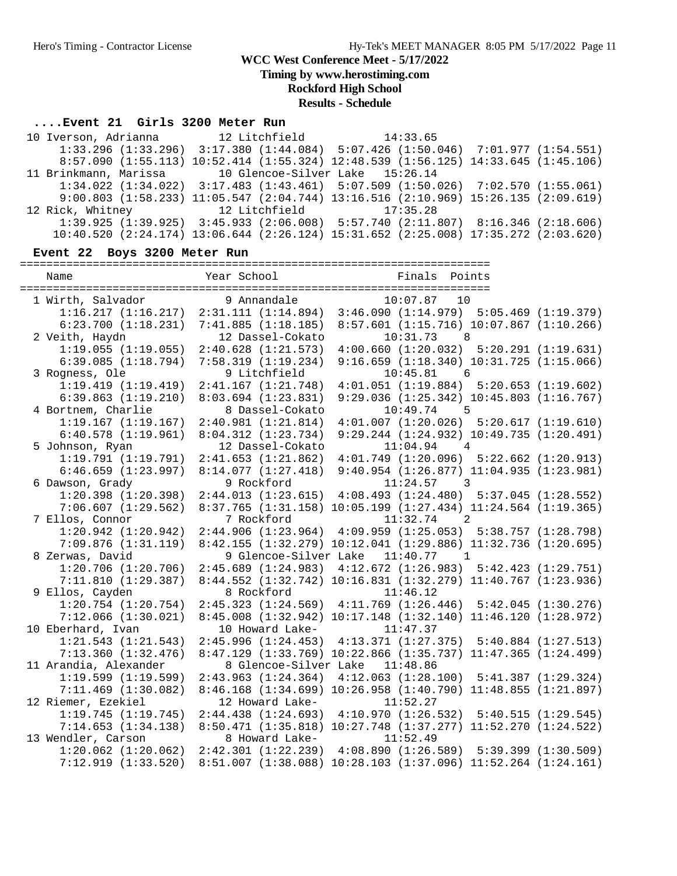**Timing by www.herostiming.com**

**Rockford High School**

**Results - Schedule**

#### **....Event 21 Girls 3200 Meter Run**

 10 Iverson, Adrianna 12 Litchfield 14:33.65 1:33.296 (1:33.296) 3:17.380 (1:44.084) 5:07.426 (1:50.046) 7:01.977 (1:54.551) 8:57.090 (1:55.113) 10:52.414 (1:55.324) 12:48.539 (1:56.125) 14:33.645 (1:45.106) 11 Brinkmann, Marissa 10 Glencoe-Silver Lake 15:26.14 1:34.022 (1:34.022) 3:17.483 (1:43.461) 5:07.509 (1:50.026) 7:02.570 (1:55.061) 9:00.803 (1:58.233) 11:05.547 (2:04.744) 13:16.516 (2:10.969) 15:26.135 (2:09.619) 12 Rick, Whitney 12 Litchfield 17:35.28 1:39.925 (1:39.925) 3:45.933 (2:06.008) 5:57.740 (2:11.807) 8:16.346 (2:18.606) 10:40.520 (2:24.174) 13:06.644 (2:26.124) 15:31.652 (2:25.008) 17:35.272 (2:03.620)

### **Event 22 Boys 3200 Meter Run**

=======================================================================

| Name                    | Year School             | Finals Points                                                           |  |
|-------------------------|-------------------------|-------------------------------------------------------------------------|--|
|                         |                         |                                                                         |  |
| 1 Wirth, Salvador       | 9 Annandale             | $10:07.87$ 10                                                           |  |
| 1:16.217(1:16.217)      | 2:31.111(1:14.894)      | 3:46.090(1:14.979)5:05.469(1:19.379)                                    |  |
| $6:23.700$ $(1:18.231)$ | 7:41.885(1:18.185)      | $8:57.601$ (1:15.716) 10:07.867 (1:10.266)                              |  |
| 2 Veith, Haydn          | 12 Dassel-Cokato        | $10:31.73$ 8                                                            |  |
| 1:19.055(1:19.055)      | $2:40.628$ $(1:21.573)$ | $4:00.660$ $(1:20.032)$ $5:20.291$ $(1:19.631)$                         |  |
| 6:39.085(1:18.794)      | 7:58.319(1:19.234)      | $9:16.659$ $(1:18.340)$ $10:31.725$ $(1:15.066)$                        |  |
| 3 Rogness, Ole          | 9 Litchfield            | $10:45.81$ 6                                                            |  |
| 1:19.419(1:19.419)      | 2:41.167(1:21.748)      | $4:01.051$ $(1:19.884)$ $5:20.653$ $(1:19.602)$                         |  |
| 6:39.863(1:19.210)      | 8:03.694(1:23.831)      | $9:29.036$ $(1:25.342)$ $10:45.803$ $(1:16.767)$                        |  |
| 4 Bortnem, Charlie      | 8 Dassel-Cokato         | $10:49.74$ 5                                                            |  |
| 1:19.167(1:19.167)      | 2:40.981(1:21.814)      | $4:01.007$ $(1:20.026)$ $5:20.617$ $(1:19.610)$                         |  |
| 6:40.578(1:19.961)      | 8:04.312(1:23.734)      | $9:29.244$ $(1:24.932)$ $10:49.735$ $(1:20.491)$                        |  |
| 5 Johnson, Ryan         | 12 Dassel-Cokato        | 11:04.94<br>4                                                           |  |
| 1:19.791(1:19.791)      | 2:41.653(1:21.862)      | $4:01.749$ $(1:20.096)$ $5:22.662$ $(1:20.913)$                         |  |
| 6:46.659(1:23.997)      | 8:14.077(1:27.418)      | $9:40.954$ $(1:26.877)$ $11:04.935$ $(1:23.981)$                        |  |
| 6 Dawson, Grady         | 9 Rockford              | $11:24.57$ 3                                                            |  |
| 1:20.398(1:20.398)      | 2:44.013(1:23.615)      | $4:08.493$ $(1:24.480)$ $5:37.045$ $(1:28.552)$                         |  |
| 7:06.607(1:29.562)      |                         | 8:37.765 (1:31.158) 10:05.199 (1:27.434) 11:24.564 (1:19.365)           |  |
| 7 Ellos, Connor         | 7 Rockford              | $11:32.74$ 2                                                            |  |
| 1:20.942(1:20.942)      |                         | $2:44.906$ (1:23.964) $4:09.959$ (1:25.053) 5:38.757 (1:28.798)         |  |
| 7:09.876(1:31.119)      |                         | 8:42.155 (1:32.279) 10:12.041 (1:29.886) 11:32.736 (1:20.695)           |  |
| 8 Zerwas, David         |                         | 9 Glencoe-Silver Lake 11:40.77 1                                        |  |
| 1:20.706(1:20.706)      |                         | $2:45.689$ (1:24.983) $4:12.672$ (1:26.983) $5:42.423$ (1:29.751)       |  |
| 7:11.810(1:29.387)      |                         | 8:44.552 (1:32.742) 10:16.831 (1:32.279) 11:40.767 (1:23.936)           |  |
| 9 Ellos, Cayden         | 8 Rockford              | 11:46.12                                                                |  |
| $1:20.754$ $(1:20.754)$ |                         | 2:45.323 (1:24.569) 4:11.769 (1:26.446) 5:42.045 (1:30.276)             |  |
| 7:12.066(1:30.021)      |                         | 8:45.008 (1:32.942) 10:17.148 (1:32.140) 11:46.120 (1:28.972)           |  |
| 10 Eberhard, Ivan       |                         | 10 Howard Lake- 11:47.37                                                |  |
| 1:21.543(1:21.543)      |                         | 2:45.996 (1:24.453) 4:13.371 (1:27.375) 5:40.884 (1:27.513)             |  |
| 7:13.360(1:32.476)      |                         | 8:47.129 (1:33.769) 10:22.866 (1:35.737) 11:47.365 (1:24.499)           |  |
| 11 Arandia, Alexander   |                         | 8 Glencoe-Silver Lake 11:48.86                                          |  |
| 1:19.599(1:19.599)      |                         | $2:43.963$ $(1:24.364)$ $4:12.063$ $(1:28.100)$ $5:41.387$ $(1:29.324)$ |  |
| $7:11.469$ $(1:30.082)$ |                         | 8:46.168 (1:34.699) 10:26.958 (1:40.790) 11:48.855 (1:21.897)           |  |
| 12 Riemer, Ezekiel      | 12 Howard Lake-         | 11:52.27                                                                |  |
| 1:19.745(1:19.745)      |                         | $2:44.438$ $(1:24.693)$ $4:10.970$ $(1:26.532)$ $5:40.515$ $(1:29.545)$ |  |
| 7:14.653(1:34.138)      |                         | 8:50.471 (1:35.818) 10:27.748 (1:37.277) 11:52.270 (1:24.522)           |  |
| 13 Wendler, Carson      | 8 Howard Lake-          | 11:52.49                                                                |  |
| $1:20.062$ $(1:20.062)$ |                         | $2:42.301$ (1:22.239) $4:08.890$ (1:26.589) $5:39.399$ (1:30.509)       |  |
| 7:12.919(1:33.520)      |                         | 8:51.007 (1:38.088) 10:28.103 (1:37.096) 11:52.264 (1:24.161)           |  |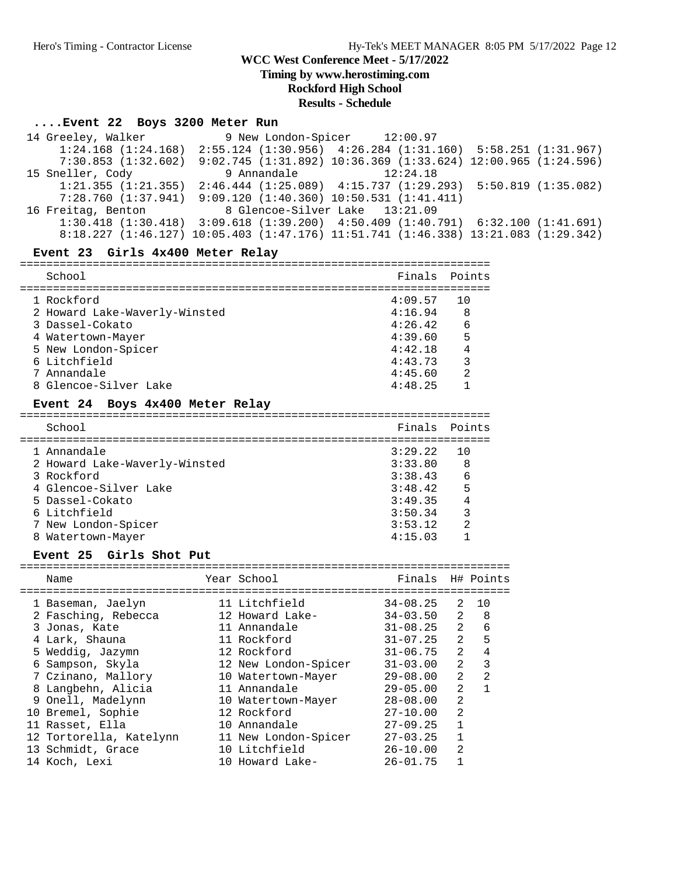**Timing by www.herostiming.com**

## **Rockford High School**

**Results - Schedule**

# **....Event 22 Boys 3200 Meter Run**

| 14 Greeley, Walker 9 New London-Spicer 12:00.97   |                                                                                                 |                                                                 |  |
|---------------------------------------------------|-------------------------------------------------------------------------------------------------|-----------------------------------------------------------------|--|
|                                                   | $1:24.168$ $(1:24.168)$ $2:55.124$ $(1:30.956)$ $4:26.284$ $(1:31.160)$ $5:58.251$ $(1:31.967)$ |                                                                 |  |
| 7:30.853(1:32.602)                                |                                                                                                 | $9:02.745$ (1:31.892) 10:36.369 (1:33.624) 12:00.965 (1:24.596) |  |
| 15 Sneller, Cody                                  |                                                                                                 | 9 Annandale $12:24.18$                                          |  |
|                                                   | $1:21.355$ $(1:21.355)$ $2:46.444$ $(1:25.089)$ $4:15.737$ $(1:29.293)$ $5:50.819$ $(1:35.082)$ |                                                                 |  |
|                                                   | $7:28.760$ (1:37.941) $9:09.120$ (1:40.360) 10:50.531 (1:41.411)                                |                                                                 |  |
| 16 Freitag, Benton 8 Glencoe-Silver Lake 13:21.09 |                                                                                                 |                                                                 |  |
|                                                   | $1:30.418$ $(1:30.418)$ $3:09.618$ $(1:39.200)$ $4:50.409$ $(1:40.791)$ $6:32.100$ $(1:41.691)$ |                                                                 |  |
|                                                   | 8:18.227 (1:46.127) 10:05.403 (1:47.176) 11:51.741 (1:46.338) 13:21.083 (1:29.342)              |                                                                 |  |

### **Event 23 Girls 4x400 Meter Relay**

| School                        | Finals Points |     |
|-------------------------------|---------------|-----|
| 1 Rockford                    | 4:09.57       | 1 O |
| 2 Howard Lake-Waverly-Winsted | 4:16.94       | 8   |
| 3 Dassel-Cokato               | 4:26.42       | 6   |
| 4 Watertown-Mayer             | 4:39.60       | 5   |
| 5 New London-Spicer           | 4:42.18       | 4   |
| 6 Litchfield                  | 4:43.73       | 3   |
| 7 Annandale                   | 4:45.60       | 2   |
| 8 Glencoe-Silver Lake         | 4:48.25       |     |

### **Event 24 Boys 4x400 Meter Relay**

| School                        | Finals Points |                |
|-------------------------------|---------------|----------------|
| 1 Annandale                   | 3:29.22       | 10             |
| 2 Howard Lake-Waverly-Winsted | 3:33.80       | 8              |
| 3 Rockford                    | 3:38.43       | 6              |
| 4 Glencoe-Silver Lake         | 3:48.42       | 5              |
| 5 Dassel-Cokato               | 3:49.35       | $\overline{4}$ |
| 6 Litchfield                  | 3:50.34       | 3              |
| 7 New London-Spicer           | 3:53.12       | $\mathcal{L}$  |
| 8 Watertown-Mayer             | 4:15.03       |                |

### Event 25 Girls Shot Put

| Name                    | Year School          | Finals H# Points |                |                |
|-------------------------|----------------------|------------------|----------------|----------------|
|                         |                      |                  |                |                |
| 1 Baseman, Jaelyn       | 11 Litchfield        | 34-08.25         | 2              | 10             |
| 2 Fasching, Rebecca     | 12 Howard Lake-      | $34 - 03.50$     | $\overline{2}$ | - 8            |
| 3 Jonas, Kate           | 11 Annandale         | $31 - 08.25$     | $\overline{2}$ | 6              |
| 4 Lark, Shauna          | 11 Rockford          | $31 - 07.25$     | $\overline{2}$ | 5              |
| 5 Weddig, Jazymn        | 12 Rockford          | $31 - 06.75$     | $\overline{2}$ | 4              |
| 6 Sampson, Skyla        | 12 New London-Spicer | $31 - 03.00$     | $\overline{a}$ | 3              |
| 7 Czinano, Mallory      | 10 Watertown-Mayer   | $29 - 08.00$     | $\mathfrak{D}$ | $\mathfrak{D}$ |
| 8 Langbehn, Alicia      | 11 Annandale         | $29 - 05.00$     | $\mathcal{L}$  |                |
| 9 Onell, Madelynn       | 10 Watertown-Mayer   | $28 - 08.00$     | $\overline{2}$ |                |
| 10 Bremel, Sophie       | 12 Rockford          | $27 - 10.00$     | $\overline{2}$ |                |
| 11 Rasset, Ella         | 10 Annandale         | $27 - 09.25$     |                |                |
| 12 Tortorella, Katelynn | 11 New London-Spicer | $27 - 03.25$     |                |                |
| 13 Schmidt, Grace       | 10 Litchfield        | $26 - 10.00$     | $\overline{2}$ |                |
| 14 Koch, Lexi           | 10 Howard Lake-      | $26 - 01.75$     |                |                |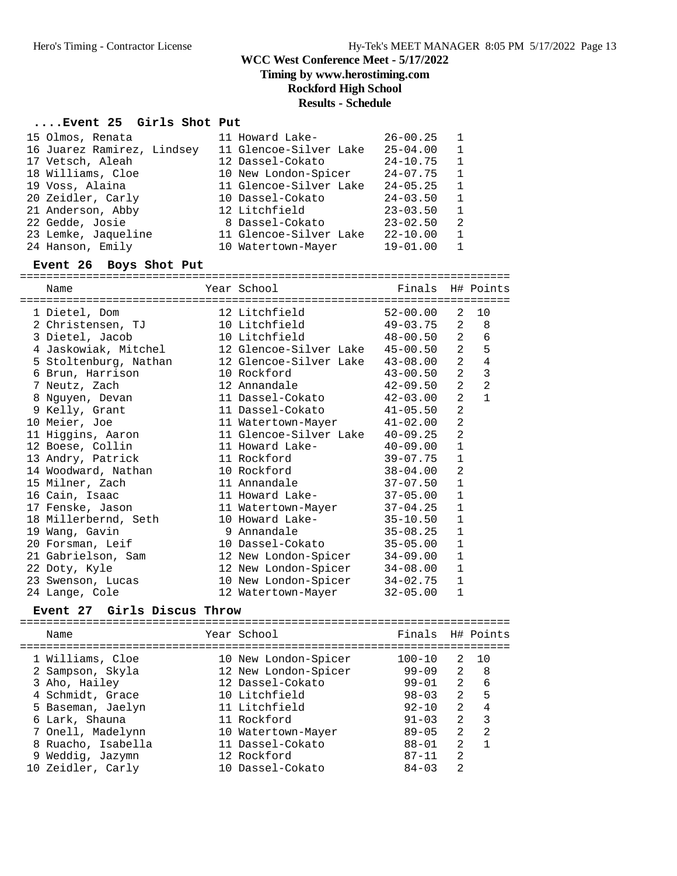**Timing by www.herostiming.com**

## **Rockford High School**

## **Results - Schedule**

#### **....Event 25 Girls Shot Put**

| 15 Olmos, Renata           | 11 Howard Lake-        | $26 - 00.25$ |   |
|----------------------------|------------------------|--------------|---|
| 16 Juarez Ramirez, Lindsey | 11 Glencoe-Silver Lake | $25 - 04.00$ | 1 |
| 17 Vetsch, Aleah           | 12 Dassel-Cokato       | $24 - 10.75$ | 1 |
| 18 Williams, Cloe          | 10 New London-Spicer   | $24 - 07.75$ | 1 |
| 19 Voss, Alaina            | 11 Glencoe-Silver Lake | $24 - 05.25$ | 1 |
| 20 Zeidler, Carly          | 10 Dassel-Cokato       | $24 - 03.50$ | 1 |
| 21 Anderson, Abby          | 12 Litchfield          | $23 - 03.50$ | 1 |
| 22 Gedde, Josie            | 8 Dassel-Cokato        | $23 - 02.50$ | 2 |
| 23 Lemke, Jaqueline        | 11 Glencoe-Silver Lake | $22 - 10.00$ | 1 |
| 24 Hanson, Emily           | 10 Watertown-Mayer     | $19 - 01.00$ |   |

#### **Event 26 Boys Shot Put**

========================================================================== Name Year School Finals H# Points

| ====================================== | ============================      |              |                |                |
|----------------------------------------|-----------------------------------|--------------|----------------|----------------|
|                                        |                                   |              | 2              | 10             |
| 2 Christensen, TJ                      | 10 Litchfield 49-03.75            |              | 2              | 8              |
| 3 Dietel, Jacob                        | 10 Litchfield 48-00.50 2 6        |              |                |                |
| 4 Jaskowiak, Mitchel                   | 12 Glencoe-Silver Lake 45-00.50   |              | 2              | 5              |
| 5 Stoltenburg, Nathan                  | 12 Glencoe-Silver Lake 43-08.00 2 |              |                | $\sqrt{4}$     |
| 6 Brun, Harrison                       | 10 Rockford                       | 43-00.50     | 2              | 3              |
| 7 Neutz, Zach                          | 12 Annandale 42-09.50             |              | 2              | $\overline{2}$ |
| 8 Nguyen, Devan                        | 11 Dassel-Cokato                  | 42-03.00     | 2              | $\mathbf{1}$   |
| 9 Kelly, Grant                         | 11 Dassel-Cokato 41-05.50         |              | $\overline{2}$ |                |
| 10 Meier, Joe                          | 11 Watertown-Mayer 41-02.00       |              | $\overline{2}$ |                |
| 11 Higgins, Aaron                      | 11 Glencoe-Silver Lake 40-09.25   |              | $\overline{2}$ |                |
| 12 Boese, Collin                       | 11 Howard Lake- 40-09.00          |              | $\mathbf{1}$   |                |
| 13 Andry, Patrick                      | 11 Rockford and the sea           | $39 - 07.75$ | $\mathbf{1}$   |                |
| 14 Woodward, Nathan                    | 10 Rockford                       | 38-04.00     | 2              |                |
| 15 Milner, Zach                        | 11 Annandale 37-07.50             |              | $\mathbf{1}$   |                |
| 16 Cain, Isaac                         | 11 Howard Lake- 37-05.00          |              | $\mathbf{1}$   |                |
| 17 Fenske, Jason                       | 11 Watertown-Mayer 37-04.25       |              | $\mathbf{1}$   |                |
| 18 Millerbernd, Seth                   | 10 Howard Lake-                   | 35-10.50     | $\mathbf{1}$   |                |
| 19 Wang, Gavin                         | 9 Annandale<br>$35 - 08.25$       |              | $\mathbf{1}$   |                |
| 20 Forsman, Leif                       | 10 Dassel-Cokato                  | $35 - 05.00$ | $\mathbf{1}$   |                |
| 21 Gabrielson, Sam                     | 12 New London-Spicer              | $34 - 09.00$ | $\mathbf{1}$   |                |
| 22 Doty, Kyle                          | 12 New London-Spicer              | 34-08.00     | $\mathbf{1}$   |                |
| 23 Swenson, Lucas                      | 10 New London-Spicer              | 34-02.75     | $\mathbf{1}$   |                |
| 24 Lange, Cole                         | 12 Watertown-Mayer                | $32 - 05.00$ | 1              |                |

### **Event 27 Girls Discus Throw**

========================================================================== Name Year School Finals H# Points ========================================================================== 1 Williams, Cloe 10 New London-Spicer 100-10 2 10 2 Sampson, Skyla 12 New London-Spicer 99-09 2 8 3 Aho, Hailey 12 Dassel-Cokato 99-01 2 6 4 Schmidt, Grace 10 Litchfield 98-03 2 5 5 Baseman, Jaelyn 11 Litchfield 92-10 2 4 6 Lark, Shauna 11 Rockford 91-03 2 3 7 Onell, Madelynn 10 Watertown-Mayer 89-05 2 2 8 Ruacho, Isabella 11 Dassel-Cokato 88-01 2 1 9 Weddig, Jazymn 12 Rockford 87-11 2 10 Zeidler, Carly 10 Dassel-Cokato 84-03 2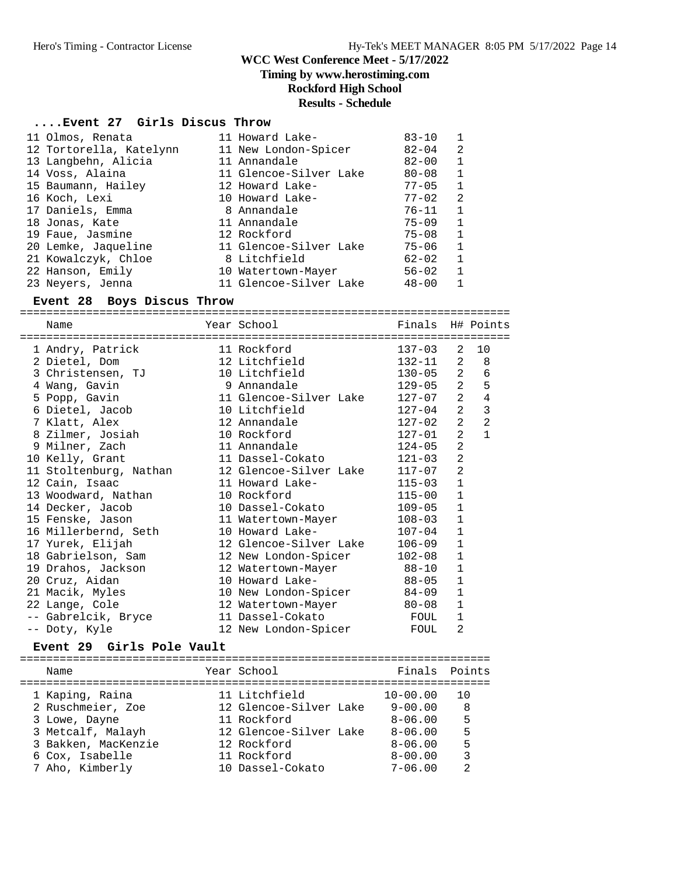### **Timing by www.herostiming.com**

## **Rockford High School**

#### **Results - Schedule**

#### **....Event 27 Girls Discus Throw**

| 11 Olmos, Renata        | 11 Howard Lake-        | $83 - 10$ | $\mathbf{1}$ |
|-------------------------|------------------------|-----------|--------------|
| 12 Tortorella, Katelynn | 11 New London-Spicer   | $82 - 04$ | 2            |
| 13 Langbehn, Alicia     | 11 Annandale           | $82 - 00$ | 1            |
| 14 Voss, Alaina         | 11 Glencoe-Silver Lake | $80 - 08$ | $\mathbf{1}$ |
| 15 Baumann, Hailey      | 12 Howard Lake-        | $77 - 05$ | 1            |
| 16 Koch, Lexi           | 10 Howard Lake-        | $77 - 02$ | 2            |
| 17 Daniels, Emma        | 8 Annandale            | 76-11     | $\mathbf{1}$ |
| 18 Jonas, Kate          | 11 Annandale           | $75 - 09$ | 1            |
| 19 Faue, Jasmine        | 12 Rockford            | 75-08     | $\mathbf{1}$ |
| 20 Lemke, Jaqueline     | 11 Glencoe-Silver Lake | 75-06     | $\mathbf{1}$ |
| 21 Kowalczyk, Chloe     | 8 Litchfield           | $62 - 02$ | $\mathbf{1}$ |
| 22 Hanson, Emily        | 10 Watertown-Mayer     | $56 - 02$ | 1            |
| 23 Neyers, Jenna        | 11 Glencoe-Silver Lake | $48 - 00$ |              |

#### **Event 28 Boys Discus Throw**

========================================================================== Name Year School Finals H# Points ========================================================================== 1 Andry, Patrick 11 Rockford 137-03 2 10 2 Dietel, Dom 12 Litchfield 132-11 2 8 3 Christensen, TJ 10 Litchfield 130-05 2 6 4 Wang, Gavin 9 Annandale 129-05 2 5 5 Popp, Gavin 11 Glencoe-Silver Lake 127-07 2 4 6 Dietel, Jacob 10 Litchfield 127-04 2 3 7 Klatt, Alex 12 Annandale 127-02 2 2 8 Zilmer, Josiah 10 Rockford 127-01 2 1 9 Milner, Zach 11 Annandale 124-05 2 10 Kelly, Grant 11 Dassel-Cokato 121-03 2 11 Stoltenburg, Nathan 12 Glencoe-Silver Lake 117-07 2 12 Cain, Isaac 11 Howard Lake- 115-03 1 13 Woodward, Nathan 10 Rockford 115-00 1 14 Decker, Jacob 10 Dassel-Cokato 109-05 1 15 Fenske, Jason 11 Watertown-Mayer 108-03 1 16 Millerbernd, Seth 10 Howard Lake- 107-04 1 17 Yurek, Elijah 12 Glencoe-Silver Lake 106-09 1 18 Gabrielson, Sam 12 New London-Spicer 102-08 1 19 Drahos, Jackson 12 Watertown-Mayer 88-10 1 20 Cruz, Aidan 10 Howard Lake- 88-05 1 21 Macik, Myles 10 New London-Spicer 84-09 1 22 Lange, Cole **12 Watertown-Mayer** 80-08 1 -- Gabrelcik, Bryce 11 Dassel-Cokato FOUL 1 -- Doty, Kyle 12 New London-Spicer FOUL 2

### **Event 29 Girls Pole Vault**

| Name                | Year School            | Finals Points |     |
|---------------------|------------------------|---------------|-----|
| 1 Kaping, Raina     | 11 Litchfield          | $10 - 00.00$  | 1 O |
| 2 Ruschmeier, Zoe   | 12 Glencoe-Silver Lake | $9 - 00.00$   | 8   |
| 3 Lowe, Dayne       | 11 Rockford            | $8 - 06.00$   | 5   |
| 3 Metcalf, Malayh   | 12 Glencoe-Silver Lake | $8 - 06.00$   | 5   |
| 3 Bakken, MacKenzie | 12 Rockford            | $8 - 06.00$   | 5   |
| 6 Cox, Isabelle     | 11 Rockford            | $8 - 00.00$   | 3   |
| 7 Aho, Kimberly     | 10 Dassel-Cokato       | $7 - 06.00$   | っ   |
|                     |                        |               |     |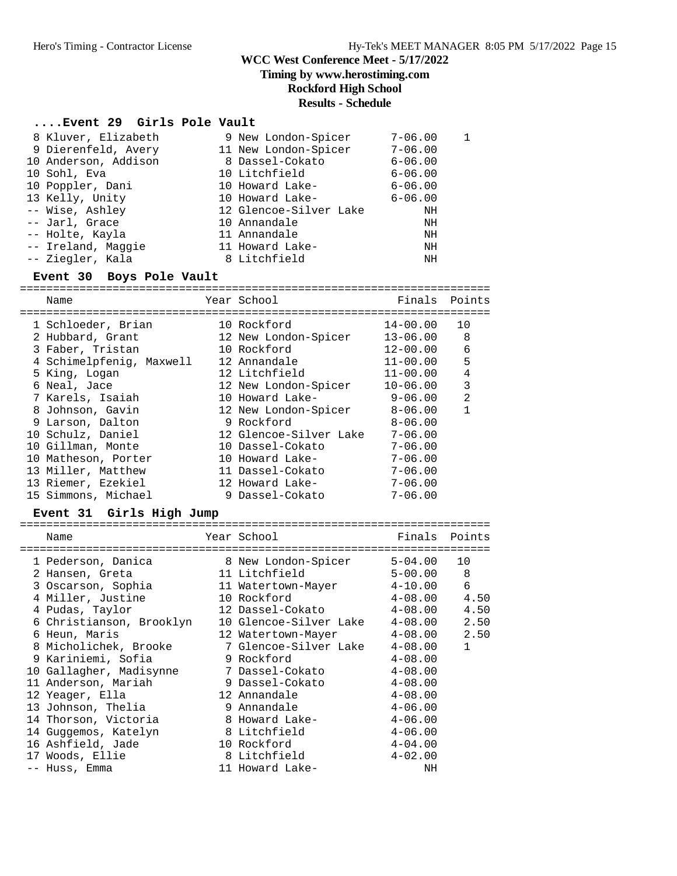### **Timing by www.herostiming.com**

### **Rockford High School**

## **Results - Schedule**

## **....Event 29 Girls Pole Vault**

| 8 Kluver, Elizabeth  | 9 New London-Spicer    | $7 - 06.00$ |  |
|----------------------|------------------------|-------------|--|
| 9 Dierenfeld, Avery  | 11 New London-Spicer   | $7 - 06.00$ |  |
| 10 Anderson, Addison | 8 Dassel-Cokato        | $6 - 06.00$ |  |
| 10 Sohl, Eva         | 10 Litchfield          | $6 - 06.00$ |  |
| 10 Poppler, Dani     | 10 Howard Lake-        | $6 - 06.00$ |  |
| 13 Kelly, Unity      | 10 Howard Lake-        | $6 - 06.00$ |  |
| -- Wise, Ashley      | 12 Glencoe-Silver Lake | ΝH          |  |
| -- Jarl, Grace       | 10 Annandale           | NH          |  |
| -- Holte, Kayla      | 11 Annandale           | ΝH          |  |
| -- Ireland, Maggie   | 11 Howard Lake-        | NH          |  |
| -- Ziegler, Kala     | 8 Litchfield           | NH          |  |
|                      |                        |             |  |

### **Event 30 Boys Pole Vault**

|  | Name                     | Year School            | Finals       | Points         |
|--|--------------------------|------------------------|--------------|----------------|
|  | 1 Schloeder, Brian       | 10 Rockford            | 14-00.00     | 10             |
|  | 2 Hubbard, Grant         | 12 New London-Spicer   | $13 - 06.00$ | 8              |
|  | 3 Faber, Tristan         | 10 Rockford            | $12 - 00.00$ | 6              |
|  | 4 Schimelpfenig, Maxwell | 12 Annandale           | $11 - 00.00$ | 5              |
|  | 5 King, Logan            | 12 Litchfield          | $11 - 00.00$ | 4              |
|  | 6 Neal, Jace             | 12 New London-Spicer   | $10 - 06.00$ | 3              |
|  | 7 Karels, Isaiah         | 10 Howard Lake-        | $9 - 06.00$  | $\mathfrak{D}$ |
|  | 8 Johnson, Gavin         | 12 New London-Spicer   | $8 - 06.00$  |                |
|  | 9 Larson, Dalton         | 9 Rockford             | $8 - 06.00$  |                |
|  | 10 Schulz, Daniel        | 12 Glencoe-Silver Lake | $7 - 06.00$  |                |
|  | 10 Gillman, Monte        | 10 Dassel-Cokato       | $7 - 06.00$  |                |
|  | 10 Matheson, Porter      | 10 Howard Lake-        | $7 - 06.00$  |                |
|  | 13 Miller, Matthew       | 11 Dassel-Cokato       | $7 - 06.00$  |                |
|  | 13 Riemer, Ezekiel       | 12 Howard Lake-        | $7 - 06.00$  |                |
|  | 15 Simmons, Michael      | 9 Dassel-Cokato        | $7 - 06.00$  |                |
|  |                          |                        |              |                |

### **Event 31 Girls High Jump**

| Name                     | Year School States of the Maria | Finals                | Points       |
|--------------------------|---------------------------------|-----------------------|--------------|
| 1 Pederson, Danica       | 8 New London-Spicer 5-04.00     |                       | 10           |
| 2 Hansen, Greta          | 11 Litchfield                   | $5 - 00.00$           | 8            |
| 3 Oscarson, Sophia       | 11 Watertown-Mayer 4-10.00      |                       | 6            |
| 4 Miller, Justine        | 10 Rockford                     | $4-08.00$             | 4.50         |
| 4 Pudas, Taylor          | 12 Dassel-Cokato                | $4 - 08.00$           | 4.50         |
| 6 Christianson, Brooklyn | 10 Glencoe-Silver Lake 4-08.00  |                       | 2.50         |
| 6 Heun, Maris            | 12 Watertown-Mayer              | $4 - 08.00$           | 2.50         |
| 8 Micholichek, Brooke    | 7 Glencoe-Silver Lake           | $4\hbox{--}08$ . $00$ | $\mathbf{1}$ |
| 9 Kariniemi, Sofia       | 9 Rockford                      | $4 - 08.00$           |              |
| 10 Gallagher, Madisynne  | 7 Dassel-Cokato                 | $4 - 08.00$           |              |
| 11 Anderson, Mariah      | 9 Dassel-Cokato                 | $4 - 08.00$           |              |
| 12 Yeager, Ella          | 12 Annandale                    | $4 - 08.00$           |              |
| 13 Johnson, Thelia       | 9 Annandale                     | $4 - 06.00$           |              |
| 14 Thorson, Victoria     | 8 Howard Lake-                  | 4-06.00               |              |
| 14 Guggemos, Katelyn     | 8 Litchfield                    | $4 - 06.00$           |              |
| 16 Ashfield, Jade        | 10 Rockford                     | $4 - 04.00$           |              |
| 17 Woods, Ellie          | 8 Litchfield                    | $4 - 02.00$           |              |
| -- Huss, Emma            | 11 Howard Lake-                 | NH                    |              |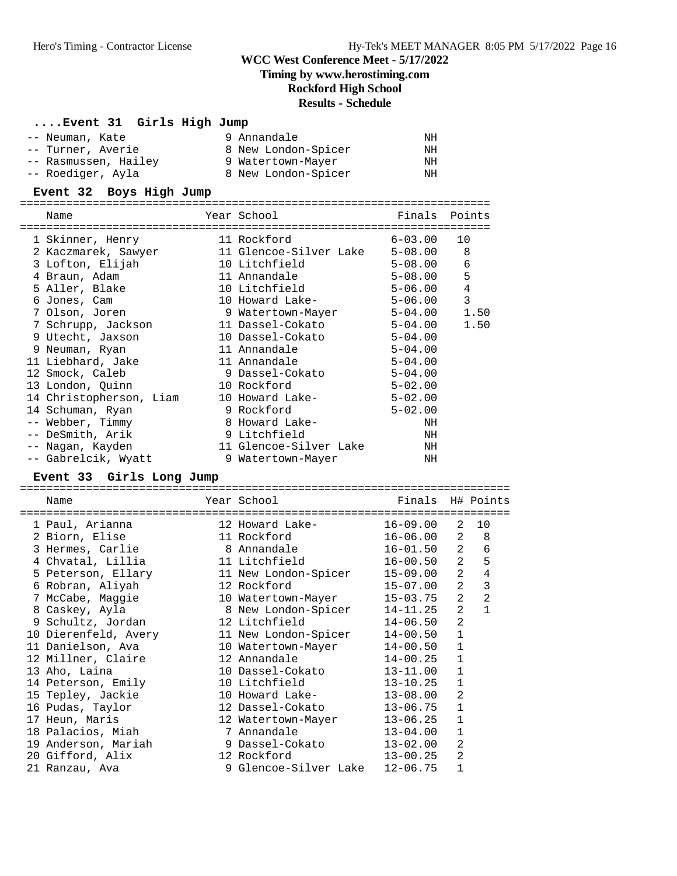### **Timing by www.herostiming.com**

**Rockford High School**

### **Results - Schedule**

### **....Event 31 Girls High Jump**

| -- Neuman, Kate      | 9 Annandale         | ΝH |
|----------------------|---------------------|----|
| -- Turner, Averie    | 8 New London-Spicer | ΝH |
| -- Rasmussen, Hailey | 9 Watertown-Mayer   | ΝH |
| -- Roediger, Ayla    | 8 New London-Spicer | ΝH |

#### **Event 32 Boys High Jump**

======================================================================= Name The Year School Team Points Points ======================================================================= 1 Skinner, Henry 11 Rockford 6-03.00 10 2 Kaczmarek, Sawyer 11 Glencoe-Silver Lake 5-08.00 8 3 Lofton, Elijah 10 Litchfield 5-08.00 6 4 Braun, Adam 11 Annandale 5-08.00 5 5 Aller, Blake 10 Litchfield 5-06.00 4 6 Jones, Cam 10 Howard Lake- 5-06.00 3

| o Jones, cam            | to noward make-        | $5 - 00.00$ |      |
|-------------------------|------------------------|-------------|------|
| 7 Olson, Joren          | 9 Watertown-Mayer      | $5 - 04.00$ | 1.50 |
| 7 Schrupp, Jackson      | 11 Dassel-Cokato       | 5-04.00     | 1.50 |
| 9 Utecht, Jaxson        | 10 Dassel-Cokato       | $5 - 04.00$ |      |
| 9 Neuman, Ryan          | 11 Annandale           | $5 - 04.00$ |      |
| 11 Liebhard, Jake       | 11 Annandale           | $5 - 04.00$ |      |
| 12 Smock, Caleb         | 9 Dassel-Cokato        | $5 - 04.00$ |      |
| 13 London, Quinn        | 10 Rockford            | $5 - 02.00$ |      |
| 14 Christopherson, Liam | 10 Howard Lake-        | $5 - 02.00$ |      |
| 14 Schuman, Ryan        | 9 Rockford             | $5 - 02.00$ |      |
| -- Webber, Timmy        | 8 Howard Lake-         | NH          |      |
| -- DeSmith, Arik        | 9 Litchfield           | NH          |      |
| -- Nagan, Kayden        | 11 Glencoe-Silver Lake | NH          |      |
| -- Gabrelcik, Wyatt     | 9 Watertown-Mayer      | NH          |      |

#### **Event 33 Girls Long Jump**

| ========= |                      |  |                       |                  |                |                |  |
|-----------|----------------------|--|-----------------------|------------------|----------------|----------------|--|
|           | Name                 |  | Year School           | Finals H# Points |                |                |  |
|           |                      |  |                       |                  |                |                |  |
|           | 1 Paul, Arianna      |  | 12 Howard Lake-       | $16 - 09.00$     | 2              | 10             |  |
|           | 2 Biorn, Elise       |  | 11 Rockford           | $16 - 06.00$     | 2              | 8              |  |
|           | 3 Hermes, Carlie     |  | 8 Annandale           | 16-01.50         | $\overline{a}$ | 6              |  |
|           | 4 Chvatal, Lillia    |  | 11 Litchfield         | 16-00.50         | $\overline{a}$ | 5              |  |
|           | 5 Peterson, Ellary   |  | 11 New London-Spicer  | $15 - 09.00$     | $\overline{a}$ | $\overline{4}$ |  |
|           | 6 Robran, Aliyah     |  | 12 Rockford           | 15-07.00         | $\overline{2}$ | 3              |  |
|           | 7 McCabe, Maggie     |  | 10 Watertown-Mayer    | 15-03.75         | $\overline{2}$ | $\overline{2}$ |  |
|           | 8 Caskey, Ayla       |  | 8 New London-Spicer   | $14 - 11.25$     | $\overline{2}$ | $\mathbf{1}$   |  |
|           | 9 Schultz, Jordan    |  | 12 Litchfield         | $14 - 06.50$     | $\overline{2}$ |                |  |
|           | 10 Dierenfeld, Avery |  | 11 New London-Spicer  | $14 - 00.50$     | $\mathbf{1}$   |                |  |
|           | 11 Danielson, Ava    |  | 10 Watertown-Mayer    | $14 - 00.50$     | 1              |                |  |
|           | 12 Millner, Claire   |  | 12 Annandale          | $14 - 00.25$     | $\mathbf{1}$   |                |  |
|           | 13 Aho, Laina        |  | 10 Dassel-Cokato      | 13-11.00         | $\mathbf{1}$   |                |  |
|           | 14 Peterson, Emily   |  | 10 Litchfield         | 13-10.25         | $\mathbf{1}$   |                |  |
|           | 15 Tepley, Jackie    |  | 10 Howard Lake-       | $13 - 08.00$     | 2              |                |  |
|           | 16 Pudas, Taylor     |  | 12 Dassel-Cokato      | 13-06.75         | $\mathbf{1}$   |                |  |
|           | 17 Heun, Maris       |  | 12 Watertown-Mayer    | $13 - 06.25$     | $\mathbf{1}$   |                |  |
|           | 18 Palacios, Miah    |  | 7 Annandale           | $13 - 04.00$     | 1              |                |  |
|           | 19 Anderson, Mariah  |  | 9 Dassel-Cokato       | $13 - 02.00$     | 2              |                |  |
|           | 20 Gifford, Alix     |  | 12 Rockford           | $13 - 00.25$     | 2              |                |  |
|           | 21 Ranzau, Ava       |  | 9 Glencoe-Silver Lake | $12 - 06.75$     | 1              |                |  |
|           |                      |  |                       |                  |                |                |  |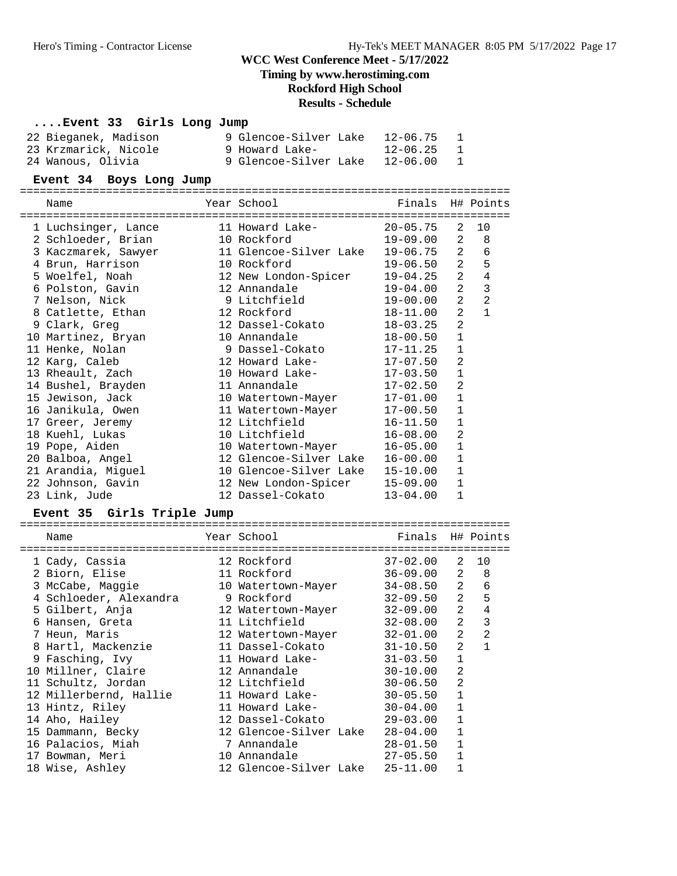**Timing by www.herostiming.com**

### **Rockford High School**

# **Results - Schedule**

#### **....Event 33 Girls Long Jump**

| 22 Bieganek, Madison | 9 Glencoe-Silver Lake | 12-06.75 |
|----------------------|-----------------------|----------|
| 23 Krzmarick, Nicole | 9 Howard Lake-        | 12-06.25 |
| 24 Wanous, Olivia    | 9 Glencoe-Silver Lake | 12-06.00 |

#### **Event 34 Boys Long Jump**

========================================================================== Name **The Year School** Finals H# Points ========================================================================== 1 Luchsinger, Lance 11 Howard Lake- 20-05.75 2 10 2 Schloeder, Brian 10 Rockford 19-09.00 2 8 3 Kaczmarek, Sawyer 11 Glencoe-Silver Lake 19-06.75 2 6 4 Brun, Harrison 10 Rockford 19-06.50 2 5 5 Woelfel, Noah 12 New London-Spicer 19-04.25 2 4 6 Polston, Gavin 12 Annandale 19-04.00 2 3 7 Nelson, Nick 9 Litchfield 19-00.00 2 2 8 Catlette, Ethan 12 Rockford 18-11.00 2 1 9 Clark, Greg 12 Dassel-Cokato 18-03.25 2 10 Martinez, Bryan 10 Annandale 18-00.50 1 11 Henke, Nolan 9 Dassel-Cokato 17-11.25 1 12 Karg, Caleb 12 Howard Lake- 17-07.50 2 13 Rheault, Zach 10 Howard Lake- 17-03.50 1 14 Bushel, Brayden 11 Annandale 17-02.50 2 15 Jewison, Jack 10 Watertown-Mayer 17-01.00 1 16 Janikula, Owen 11 Watertown-Mayer 17-00.50 1 17 Greer, Jeremy 12 Litchfield 16-11.50 1 18 Kuehl, Lukas 10 Litchfield 16-08.00 2 19 Pope, Aiden 10 Watertown-Mayer 16-05.00 1 20 Balboa, Angel 12 Glencoe-Silver Lake 16-00.00 1 21 Arandia, Miguel 10 Glencoe-Silver Lake 15-10.00 1 22 Johnson, Gavin 12 New London-Spicer 15-09.00 1 23 Link, Jude 12 Dassel-Cokato 13-04.00 1

#### **Event 35 Girls Triple Jump**

| Name                               | Year School District the Second State of the Second State of the Second State of the Second State o            | Finals H# Points |                |                  |
|------------------------------------|----------------------------------------------------------------------------------------------------------------|------------------|----------------|------------------|
| 1 Cady, Cassia                     | -----------------<br>12 Rockford                                                                               | 37-02.00         | 2              | 10               |
| 2 Biorn, Elise                     | 11 Rockford                                                                                                    | 36-09.00         |                | $2^{\circ}$<br>8 |
| 3 McCabe, Maggie                   | 10 Watertown-Mayer 34-08.50                                                                                    |                  | $\overline{a}$ | 6                |
| 4 Schloeder, Alexandra 19 Rockford |                                                                                                                | 32-09.50         | $\overline{2}$ | 5                |
| 5 Gilbert, Anja                    | 12 Watertown-Mayer 32-09.00                                                                                    |                  | $\overline{a}$ | 4                |
| 6 Hansen, Greta                    | 11 Litchfield and the state of the state of the state of the state of the state of the state of the state of t | 32-08.00         | $\overline{2}$ | 3                |
| 7 Heun, Maris                      | 12 Watertown-Mayer                                                                                             | 32-01.00         | $\overline{a}$ | 2                |
| 8 Hartl, Mackenzie                 | 11 Dassel-Cokato                                                                                               | 31-10.50         | $\overline{2}$ | $\mathbf{1}$     |
| 9 Fasching, Ivy                    | 11 Howard Lake- 31-03.50                                                                                       |                  | $\mathbf{1}$   |                  |
| 10 Millner, Claire                 | 12 Annandale ann an t-                                                                                         | 30-10.00         | 2              |                  |
| 11 Schultz, Jordan                 | 12 Litchfield                                                                                                  | $30 - 06.50$     | $\overline{2}$ |                  |
| 12 Millerbernd, Hallie             | 11 Howard Lake-                                                                                                | $30 - 05.50$     | $\mathbf{1}$   |                  |
| 13 Hintz, Riley                    | 11 Howard Lake-                                                                                                | 30-04.00         | 1              |                  |
| 14 Aho, Hailey                     | 12 Dassel-Cokato                                                                                               | 29-03.00         | 1              |                  |
| 15 Dammann, Becky                  | 12 Glencoe-Silver Lake                                                                                         | $28 - 04.00$     | $\mathbf{1}$   |                  |
| 16 Palacios, Miah                  | 7 Annandale                                                                                                    | 28-01.50         | 1              |                  |
| 17 Bowman, Meri                    | $27 - 05.50$<br>10 Annandale                                                                                   |                  | $\mathbf{1}$   |                  |
| 18 Wise, Ashley                    | 12 Glencoe-Silver Lake 25-11.00                                                                                |                  |                |                  |